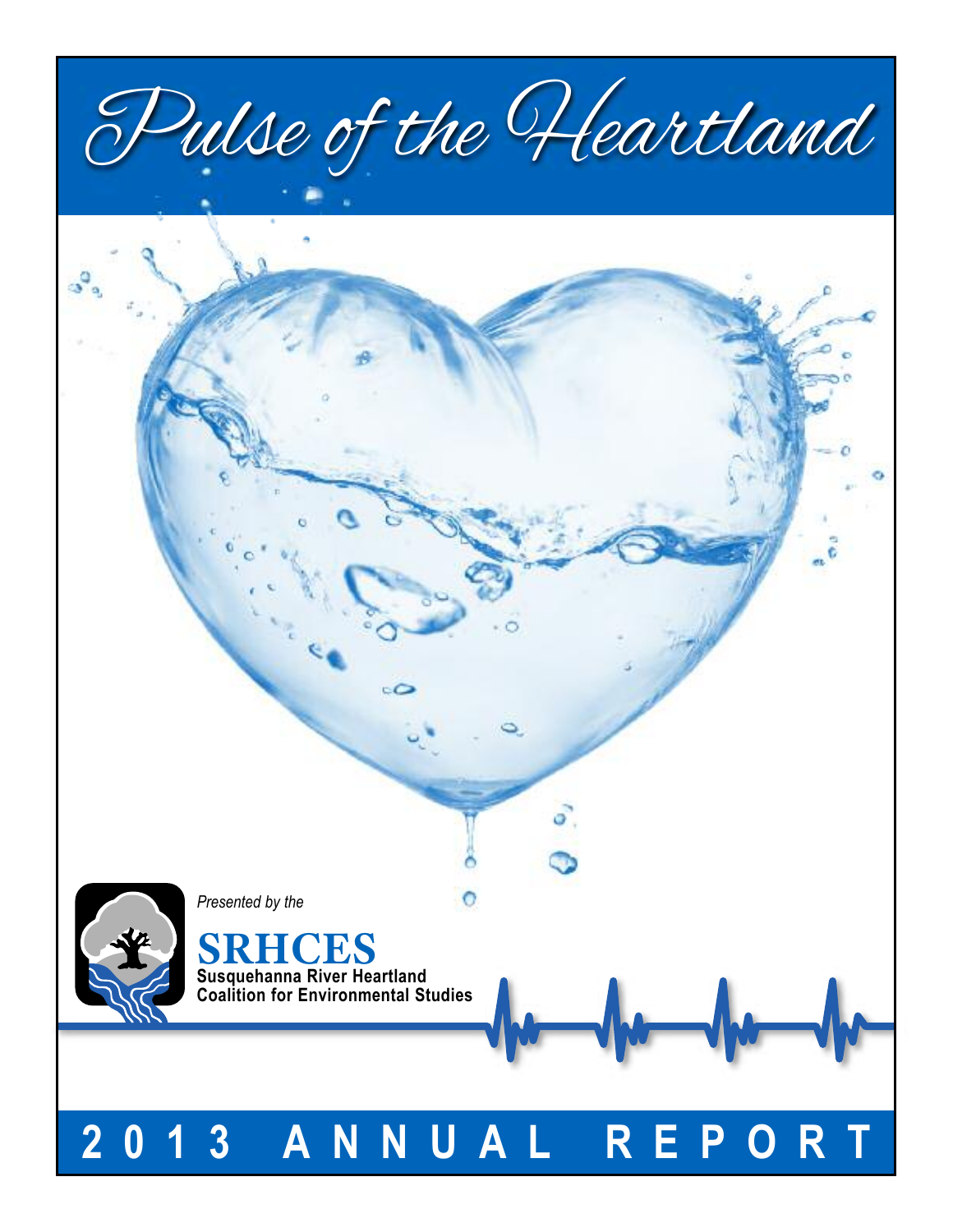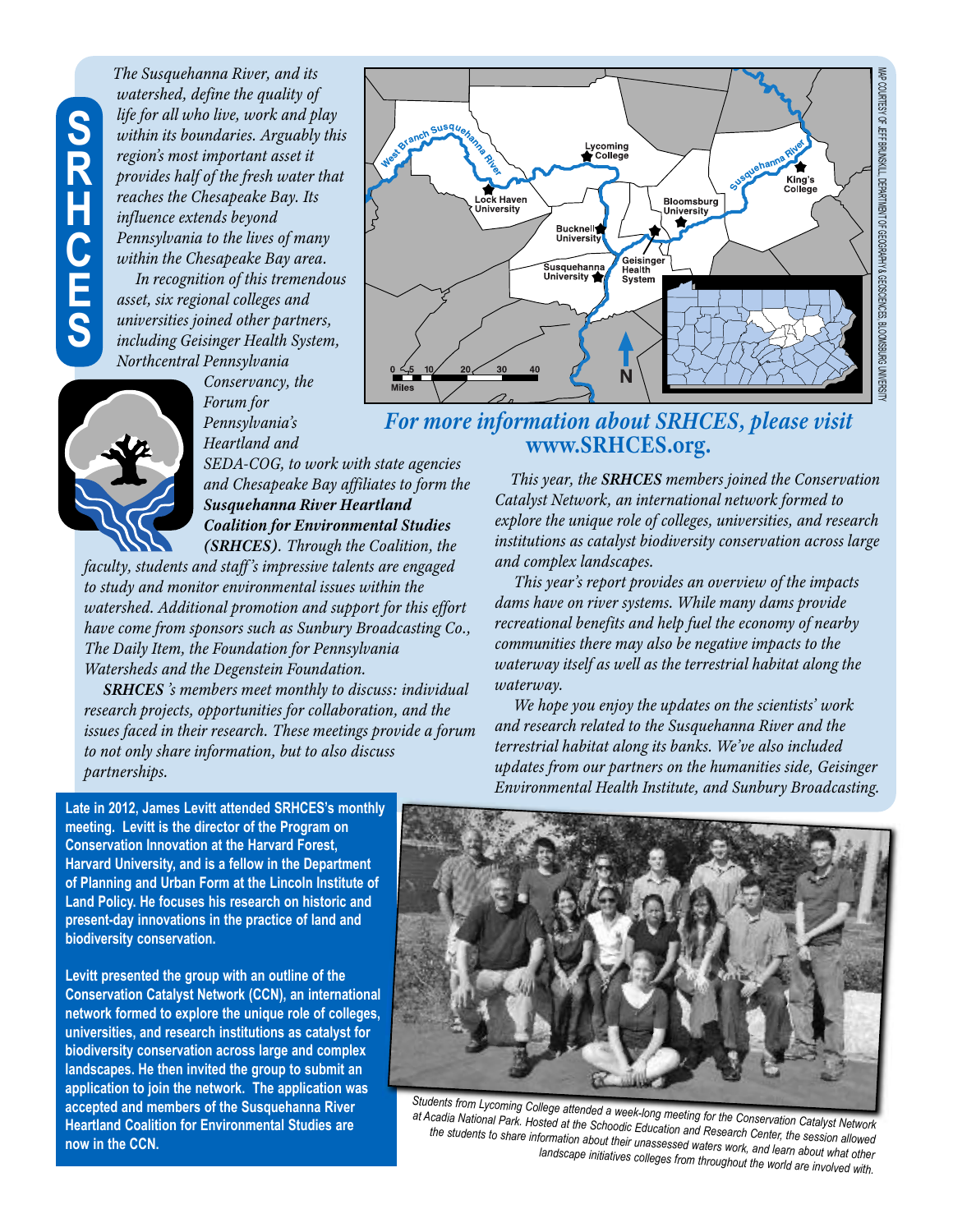# **S R H C E S**

*The Susquehanna River, and its watershed, define the quality of life for all who live, work and play within its boundaries. Arguably this region's most important asset it provides half of the fresh water that reaches the Chesapeake Bay. Its influence extends beyond Pennsylvania to the lives of many within the Chesapeake Bay area.*

*In recognition of this tremendous asset, six regional colleges and universities joined other partners, including Geisinger Health System, Northcentral Pennsylvania*



*Conservancy, the Forum for Pennsylvania's Heartland and*

*SEDA-COG, to work with state agencies and Chesapeake Bay affiliates to form the Susquehanna River Heartland Coalition for Environmental Studies (SRHCES). Through the Coalition, the*

*faculty, students and staff's impressive talents are engaged to study and monitor environmental issues within the watershed. Additional promotion and support for this effort have come from sponsors such as Sunbury Broadcasting Co., The Daily Item, the Foundation for Pennsylvania Watersheds and the Degenstein Foundation.*

*SRHCES 's members meet monthly to discuss: individual research projects, opportunities for collaboration, and the issues faced in their research. These meetings provide a forum to not only share information, but to also discuss partnerships.*



# *For more information about SRHCES, please visit* **www.SRHCES.org.**

*This year, the SRHCES members joined the Conservation Catalyst Network, an international network formed to explore the unique role of colleges, universities, and research institutions as catalyst biodiversity conservation across large and complex landscapes.*

*This year's report provides an overview of the impacts dams have on river systems. While many dams provide recreational benefits and help fuel the economy of nearby communities there may also be negative impacts to the waterway itself as well as the terrestrial habitat along the waterway.*

*We hope you enjoy the updates on the scientists' work and research related to the Susquehanna River and the terrestrial habitat along its banks. We've also included updates from our partners on the humanities side, Geisinger Environmental Health Institute, and Sunbury Broadcasting.*

**Late in 2012, James Levitt attended SRHCES's monthly meeting. Levitt is the director of the Program on Conservation Innovation at the Harvard Forest, Harvard University, and is a fellow in the Department of Planning and Urban Form at the Lincoln Institute of Land Policy. He focuses his research on historic and present-day innovations in the practice of land and biodiversity conservation.**

**Levitt presented the group with an outline of the Conservation Catalyst Network (CCN), an international network formed to explore the unique role of colleges, universities, and research institutions as catalyst for biodiversity conservation across large and complex landscapes. He then invited the group to submit an application to join the network. The application was accepted and members of the Susquehanna River Heartland Coalition for Environmental Studies are now in the CCN.**



*Students from Lycoming College attended <sup>a</sup> week-long meeting for the Conservation Catalyst Network at Acadia National Park. Hosted at the Schoodic Education and Research Center, the session allowed the students to share information about their unassessed waters work, and learn about what other landscape initiatives colleges from throughout the world are involved with.*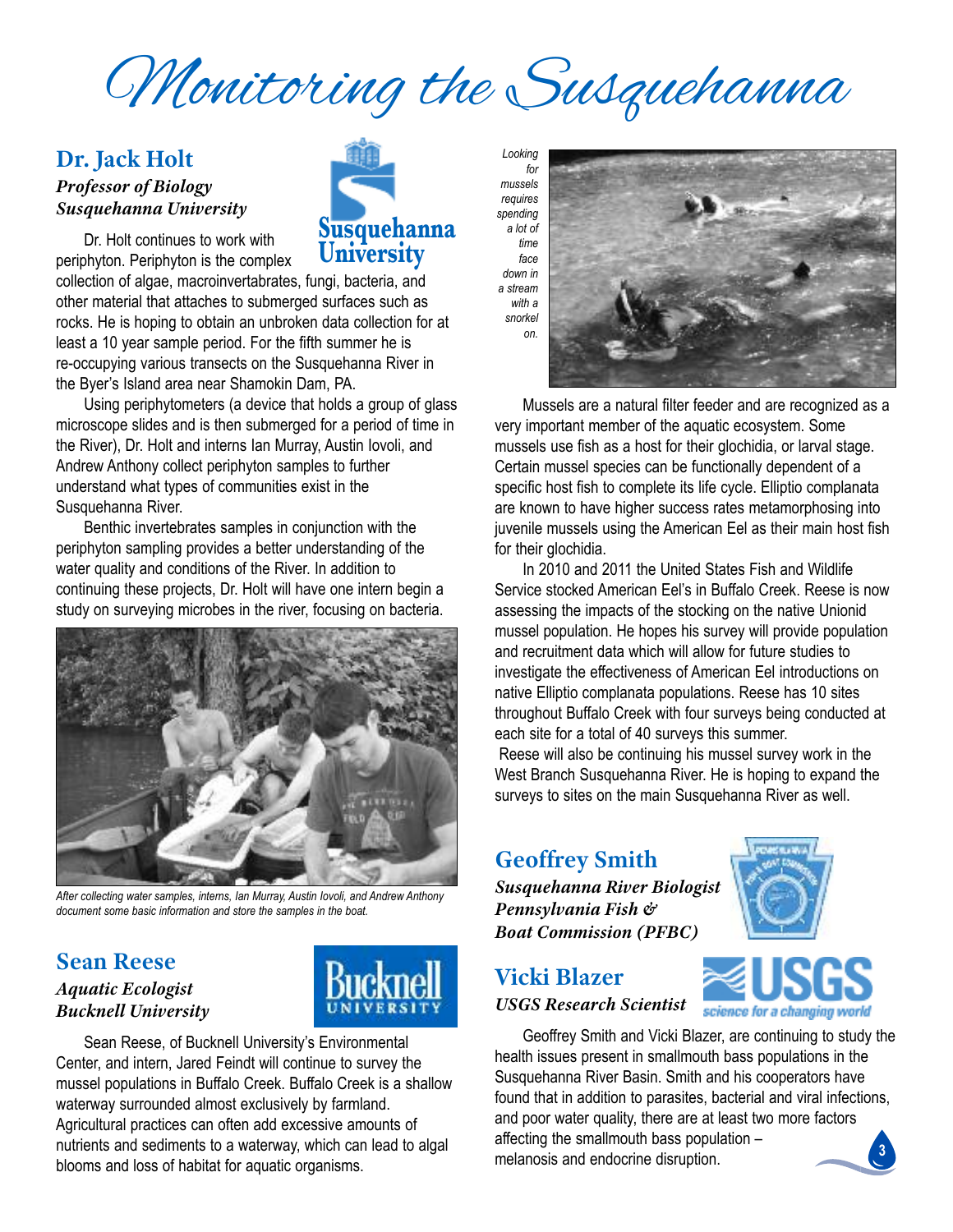Monitoring the Susquehanna

### **Dr. Jack Holt** *Professor of Biology Susquehanna University*

Dr. Holt continues to work with periphyton. Periphyton is the complex

collection of algae, macroinvertabrates, fungi, bacteria, and other material that attaches to submerged surfaces such as rocks. he is hoping to obtain an unbroken data collection for at least a 10 year sample period. for the fifth summer he is re-occupying various transects on the Susquehanna River in the Byer's Island area near Shamokin Dam, PA.

Using periphytometers (a device that holds a group of glass microscope slides and is then submerged for a period of time in the River), Dr. Holt and interns Ian Murray, Austin lovoli, and andrew anthony collect periphyton samples to further understand what types of communities exist in the Susquehanna River.

Benthic invertebrates samples in conjunction with the periphyton sampling provides a better understanding of the water quality and conditions of the River. In addition to continuing these projects, Dr. Holt will have one intern begin a study on surveying microbes in the river, focusing on bacteria.



*After collecting water samples, interns, Ian Murray, Austin Iovoli, and Andrew Anthony document some basic information and store the samples in the boat.*

### **Sean Reese** *Aquatic Ecologist Bucknell University*



Sean Reese, of Bucknell University's Environmental center, and intern, Jared feindt will continue to survey the mussel populations in Buffalo creek. Buffalo creek is a shallow waterway surrounded almost exclusively by farmland. Agricultural practices can often add excessive amounts of nutrients and sediments to a waterway, which can lead to algal blooms and loss of habitat for aquatic organisms.





Mussels are a natural filter feeder and are recognized as a very important member of the aquatic ecosystem. some mussels use fish as a host for their glochidia, or larval stage. certain mussel species can be functionally dependent of a specific host fish to complete its life cycle. Elliptio complanata are known to have higher success rates metamorphosing into juvenile mussels using the American Eel as their main host fish for their glochidia.

In 2010 and 2011 the United States Fish and Wildlife Service stocked American Eel's in Buffalo Creek. Reese is now assessing the impacts of the stocking on the native Unionid mussel population. he hopes his survey will provide population and recruitment data which will allow for future studies to investigate the effectiveness of American Eel introductions on native Elliptio complanata populations. Reese has 10 sites throughout Buffalo creek with four surveys being conducted at each site for a total of 40 surveys this summer.

Reese will also be continuing his mussel survey work in the West Branch Susquehanna River. He is hoping to expand the surveys to sites on the main Susquehanna River as well.

# **Geoffrey Smith**

*Susquehanna River Biologist Pennsylvania Fish & Boat Commission (PFBC)*



science for a changing world

# **Vicki Blazer** *USGS Research Scientist*

Geoffrey smith and vicki Blazer, are continuing to study the health issues present in smallmouth bass populations in the Susquehanna River Basin. Smith and his cooperators have found that in addition to parasites, bacterial and viral infections, and poor water quality, there are at least two more factors affecting the smallmouth bass population – melanosis and endocrine disruption. **3**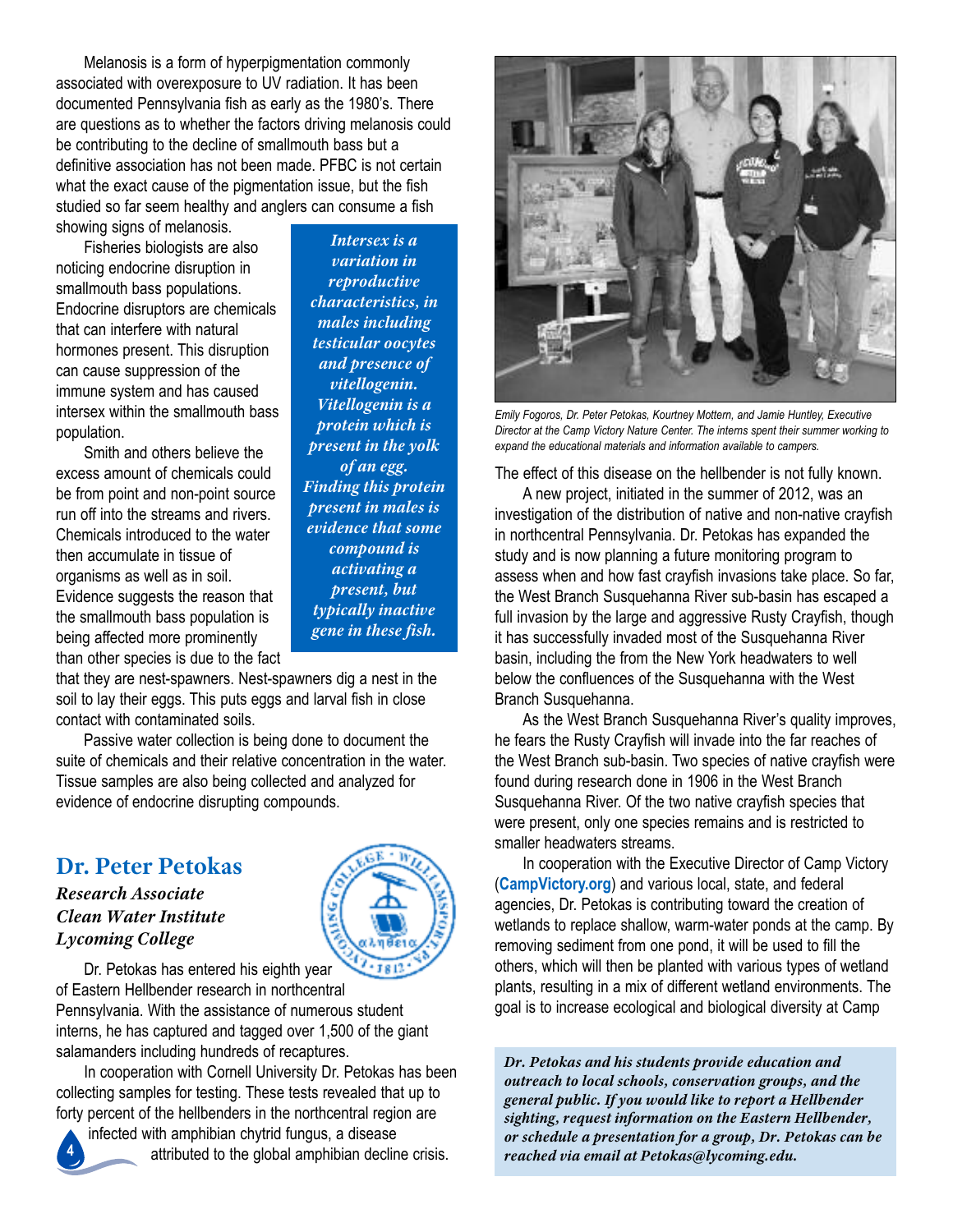Melanosis is a form of hyperpigmentation commonly associated with overexposure to UV radiation. It has been documented Pennsylvania fish as early as the 1980's. There are questions as to whether the factors driving melanosis could be contributing to the decline of smallmouth bass but a definitive association has not been made. PFBC is not certain what the exact cause of the pigmentation issue, but the fish studied so far seem healthy and anglers can consume a fish showing signs of melanosis.

fisheries biologists are also noticing endocrine disruption in smallmouth bass populations. Endocrine disruptors are chemicals that can interfere with natural hormones present. This disruption can cause suppression of the immune system and has caused intersex within the smallmouth bass population.

smith and others believe the excess amount of chemicals could be from point and non-point source run off into the streams and rivers. chemicals introduced to the water then accumulate in tissue of organisms as well as in soil. Evidence suggests the reason that the smallmouth bass population is being affected more prominently than other species is due to the fact

*variation in reproductive characteristics, in males including testicular oocytes and presence of vitellogenin. Vitellogenin is a protein which is present in the yolk of an egg. Finding this protein present in males is evidence that some compound is activating a present, but typically inactive gene in these fish.*

*Intersex is a*

that they are nest-spawners. Nest-spawners dig a nest in the soil to lay their eggs. This puts eggs and larval fish in close contact with contaminated soils.

passive water collection is being done to document the suite of chemicals and their relative concentration in the water. Tissue samples are also being collected and analyzed for evidence of endocrine disrupting compounds.

# **Dr. Peter Petokas**

*Research Associate Clean Water Institute Lycoming College*

**4**



Dr. Petokas has entered his eighth year of Eastern Hellbender research in northcentral

pennsylvania. With the assistance of numerous student interns, he has captured and tagged over 1,500 of the giant salamanders including hundreds of recaptures.

In cooperation with Cornell University Dr. Petokas has been collecting samples for testing. These tests revealed that up to forty percent of the hellbenders in the northcentral region are

infected with amphibian chytrid fungus, a disease attributed to the global amphibian decline crisis.



*Emily Fogoros, Dr. Peter Petokas, Kourtney Mottern, and Jamie Huntley, Executive Director at the Camp Victory Nature Center. The interns spent their summer working to expand the educational materials and information available to campers.*

The effect of this disease on the hellbender is not fully known.

A new project, initiated in the summer of 2012, was an investigation of the distribution of native and non-native crayfish in northcentral Pennsylvania. Dr. Petokas has expanded the study and is now planning a future monitoring program to assess when and how fast crayfish invasions take place. So far, the West Branch Susquehanna River sub-basin has escaped a full invasion by the large and aggressive Rusty Crayfish, though it has successfully invaded most of the Susquehanna River basin, including the from the New York headwaters to well below the confluences of the Susquehanna with the West Branch Susquehanna.

As the West Branch Susquehanna River's quality improves, he fears the Rusty Crayfish will invade into the far reaches of the West Branch sub-basin. Two species of native crayfish were found during research done in 1906 in the West Branch Susquehanna River. Of the two native crayfish species that were present, only one species remains and is restricted to smaller headwaters streams.

In cooperation with the Executive Director of Camp Victory (**CampVictory.org**) and various local, state, and federal agencies, Dr. Petokas is contributing toward the creation of wetlands to replace shallow, warm-water ponds at the camp. By removing sediment from one pond, it will be used to fill the others, which will then be planted with various types of wetland plants, resulting in a mix of different wetland environments. The goal is to increase ecological and biological diversity at camp

*Dr. Petokas and his students provide education and outreach to local schools, conservation groups, and the general public. If you would like to report a Hellbender sighting, request information on the Eastern Hellbender, or schedule a presentation for a group, Dr. Petokas can be reached via email at Petokas@lycoming.edu.*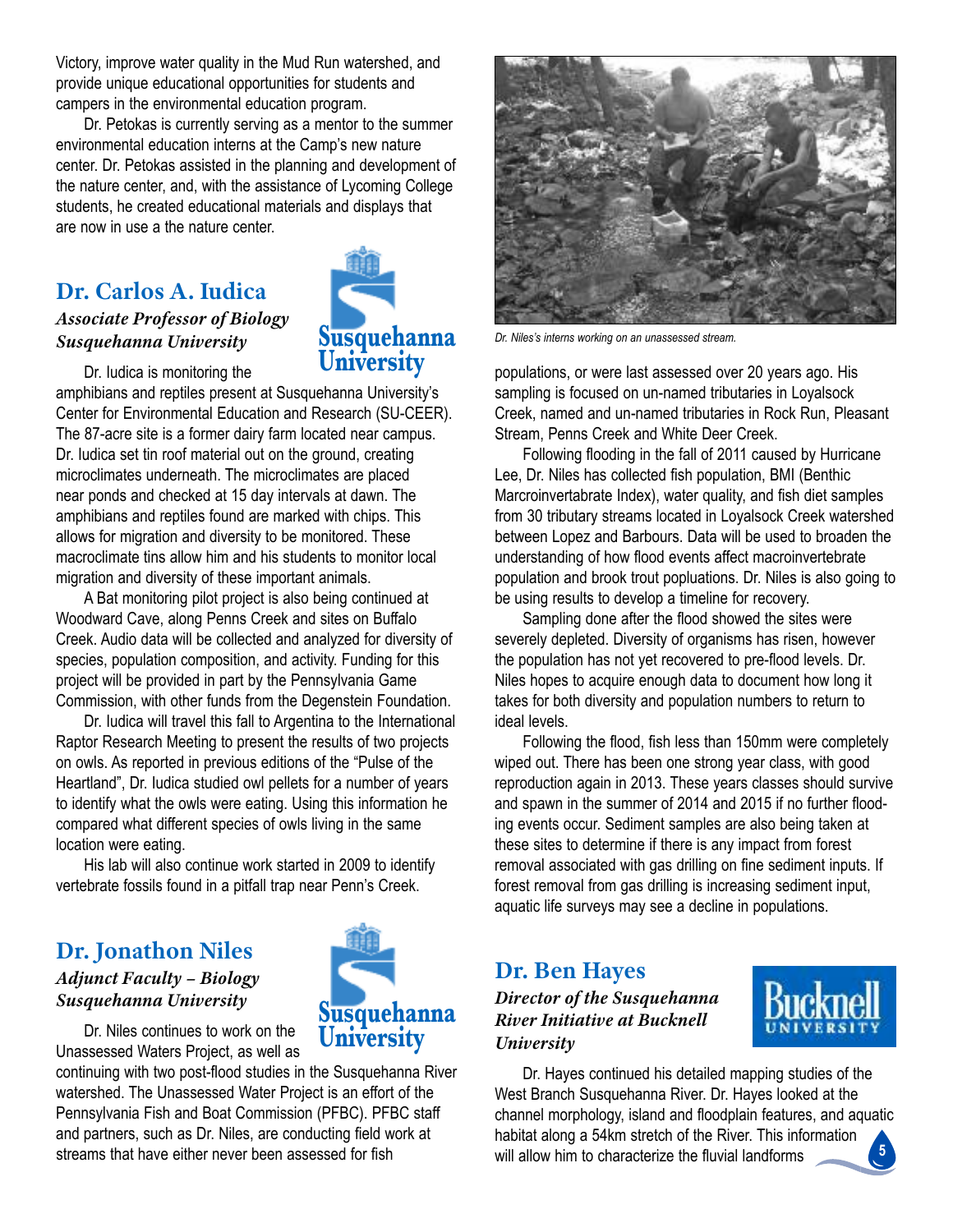Victory, improve water quality in the Mud Run watershed, and provide unique educational opportunities for students and campers in the environmental education program.

Dr. Petokas is currently serving as a mentor to the summer environmental education interns at the camp's new nature center. Dr. Petokas assisted in the planning and development of the nature center, and, with the assistance of Lycoming College students, he created educational materials and displays that are now in use a the nature center.

# **Dr. Carlos A. Iudica**

#### *Associate Professor of Biology Susquehanna University*



Dr. Iudica is monitoring the

amphibians and reptiles present at Susquehanna University's Center for Environmental Education and Research (SU-CEER). The 87-acre site is a former dairy farm located near campus. Dr. iudica set tin roof material out on the ground, creating microclimates underneath. The microclimates are placed near ponds and checked at 15 day intervals at dawn. The amphibians and reptiles found are marked with chips. This allows for migration and diversity to be monitored. These macroclimate tins allow him and his students to monitor local migration and diversity of these important animals.

A Bat monitoring pilot project is also being continued at Woodward Cave, along Penns Creek and sites on Buffalo Creek. Audio data will be collected and analyzed for diversity of species, population composition, and activity. Funding for this project will be provided in part by the pennsylvania Game commission, with other funds from the Degenstein foundation.

Dr. Iudica will travel this fall to Argentina to the International Raptor Research Meeting to present the results of two projects on owls. As reported in previous editions of the "Pulse of the heartland", Dr. iudica studied owl pellets for a number of years to identify what the owls were eating. Using this information he compared what different species of owls living in the same location were eating.

his lab will also continue work started in 2009 to identify vertebrate fossils found in a pitfall trap near Penn's Creek.

## **Dr. Jonathon Niles** *Adjunct Faculty – Biology Susquehanna University*



Dr. Niles continues to work on the Unassessed Waters Project, as well as

continuing with two post-flood studies in the Susquehanna River watershed. The Unassessed Water Project is an effort of the Pennsylvania Fish and Boat Commission (PFBC). PFBC staff and partners, such as Dr. Niles, are conducting field work at streams that have either never been assessed for fish



populations, or were last assessed over 20 years ago. His sampling is focused on un-named tributaries in Loyalsock Creek, named and un-named tributaries in Rock Run, Pleasant Stream, Penns Creek and White Deer Creek.

following flooding in the fall of 2011 caused by hurricane Lee, Dr. Niles has collected fish population, BMI (Benthic Marcroinvertabrate index), water quality, and fish diet samples from 30 tributary streams located in loyalsock creek watershed between lopez and Barbours. Data will be used to broaden the understanding of how flood events affect macroinvertebrate population and brook trout popluations. Dr. Niles is also going to be using results to develop a timeline for recovery.

sampling done after the flood showed the sites were severely depleted. Diversity of organisms has risen, however the population has not yet recovered to pre-flood levels. Dr. Niles hopes to acquire enough data to document how long it takes for both diversity and population numbers to return to ideal levels.

following the flood, fish less than 150mm were completely wiped out. There has been one strong year class, with good reproduction again in 2013. These years classes should survive and spawn in the summer of 2014 and 2015 if no further flooding events occur. Sediment samples are also being taken at these sites to determine if there is any impact from forest removal associated with gas drilling on fine sediment inputs. if forest removal from gas drilling is increasing sediment input, aquatic life surveys may see a decline in populations.

# **Dr. Ben Hayes**

#### *Director of the Susquehanna River Initiative at Bucknell University*



**5** Dr. Hayes continued his detailed mapping studies of the West Branch Susquehanna River. Dr. Hayes looked at the channel morphology, island and floodplain features, and aquatic habitat along a 54km stretch of the River. This information will allow him to characterize the fluvial landforms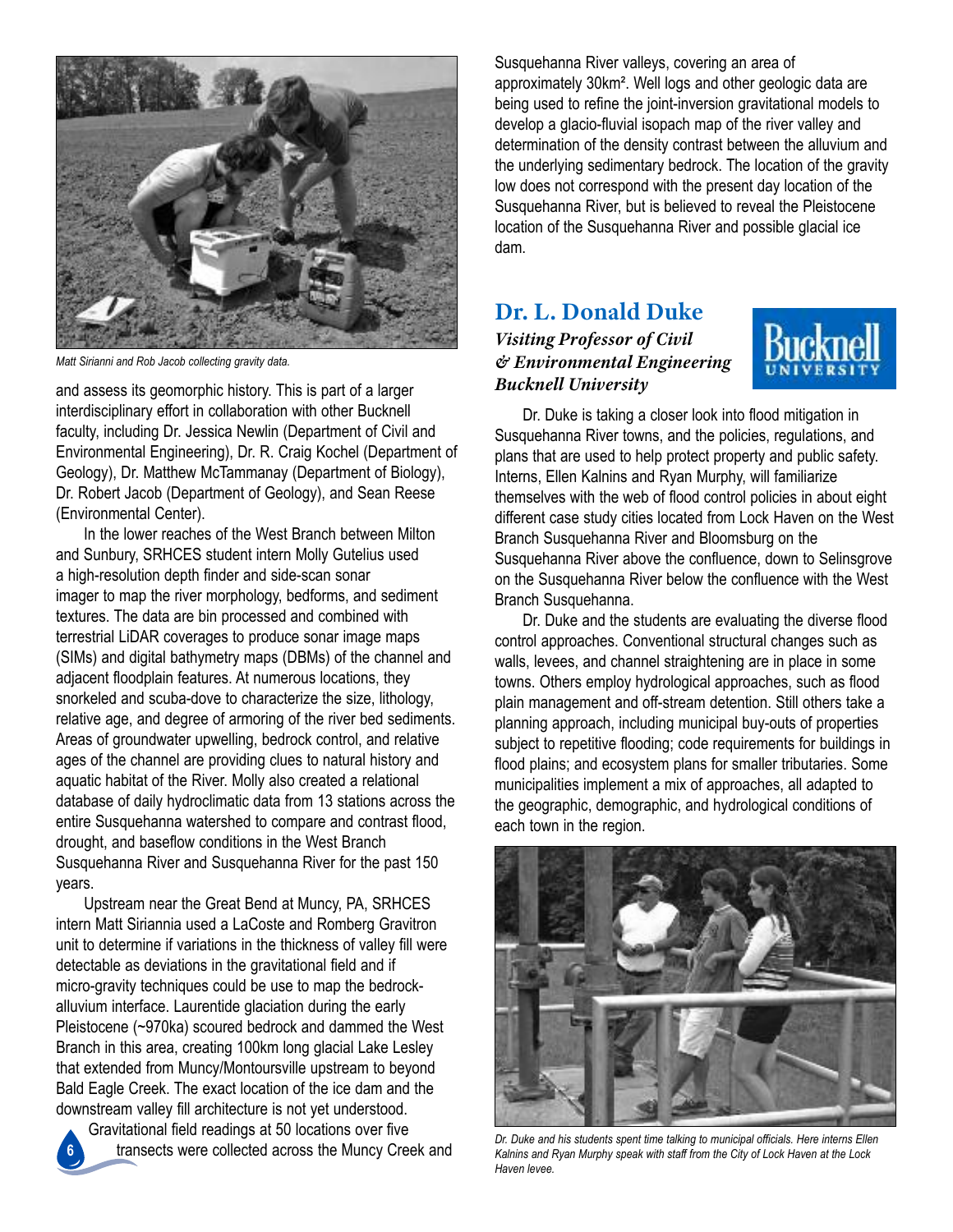

*Matt Sirianni and Rob Jacob collecting gravity data.*

and assess its geomorphic history. This is part of a larger interdisciplinary effort in collaboration with other Bucknell faculty, including Dr. Jessica Newlin (Department of Civil and Environmental Engineering), Dr. R. Craig Kochel (Department of Geology), Dr. Matthew Mctammanay (Department of Biology), Dr. Robert Jacob (Department of Geology), and Sean Reese (Environmental Center).

In the lower reaches of the West Branch between Milton and Sunbury, SRHCES student intern Molly Gutelius used a high-resolution depth finder and side-scan sonar imager to map the river morphology, bedforms, and sediment textures. The data are bin processed and combined with terrestrial LiDAR coverages to produce sonar image maps (siMs) and digital bathymetry maps (DBMs) of the channel and adjacent floodplain features. at numerous locations, they snorkeled and scuba-dove to characterize the size, lithology, relative age, and degree of armoring of the river bed sediments. Areas of groundwater upwelling, bedrock control, and relative ages of the channel are providing clues to natural history and aquatic habitat of the River. Molly also created a relational database of daily hydroclimatic data from 13 stations across the entire Susquehanna watershed to compare and contrast flood, drought, and baseflow conditions in the West Branch Susquehanna River and Susquehanna River for the past 150 years.

Upstream near the Great Bend at Muncy, PA, SRHCES intern Matt Siriannia used a LaCoste and Romberg Gravitron unit to determine if variations in the thickness of valley fill were detectable as deviations in the gravitational field and if micro-gravity techniques could be use to map the bedrockalluvium interface. laurentide glaciation during the early pleistocene (~970ka) scoured bedrock and dammed the West Branch in this area, creating 100km long glacial Lake Lesley that extended from Muncy/Montoursville upstream to beyond Bald Eagle Creek. The exact location of the ice dam and the downstream valley fill architecture is not yet understood.

Gravitational field readings at 50 locations over five transects were collected across the Muncy creek and

**6**

Susquehanna River valleys, covering an area of approximately 30km². Well logs and other geologic data are being used to refine the joint-inversion gravitational models to develop a glacio-fluvial isopach map of the river valley and determination of the density contrast between the alluvium and the underlying sedimentary bedrock. The location of the gravity low does not correspond with the present day location of the Susquehanna River, but is believed to reveal the Pleistocene location of the Susquehanna River and possible glacial ice dam.

## **Dr. L. Donald Duke** *Visiting Professor of Civil & Environmental Engineering Bucknell University*



Dr. Duke is taking a closer look into flood mitigation in Susquehanna River towns, and the policies, regulations, and plans that are used to help protect property and public safety. Interns, Ellen Kalnins and Ryan Murphy, will familiarize themselves with the web of flood control policies in about eight different case study cities located from lock haven on the West Branch Susquehanna River and Bloomsburg on the Susquehanna River above the confluence, down to Selinsgrove on the Susquehanna River below the confluence with the West Branch Susquehanna.

Dr. Duke and the students are evaluating the diverse flood control approaches. Conventional structural changes such as walls, levees, and channel straightening are in place in some towns. Others employ hydrological approaches, such as flood plain management and off-stream detention. still others take a planning approach, including municipal buy-outs of properties subject to repetitive flooding; code requirements for buildings in flood plains; and ecosystem plans for smaller tributaries. Some municipalities implement a mix of approaches, all adapted to the geographic, demographic, and hydrological conditions of each town in the region.



*Dr. Duke and his students spent time talking to municipal officials. Here interns Ellen Kalnins and Ryan Murphy speak with staff from the City of Lock Haven at the Lock Haven levee.*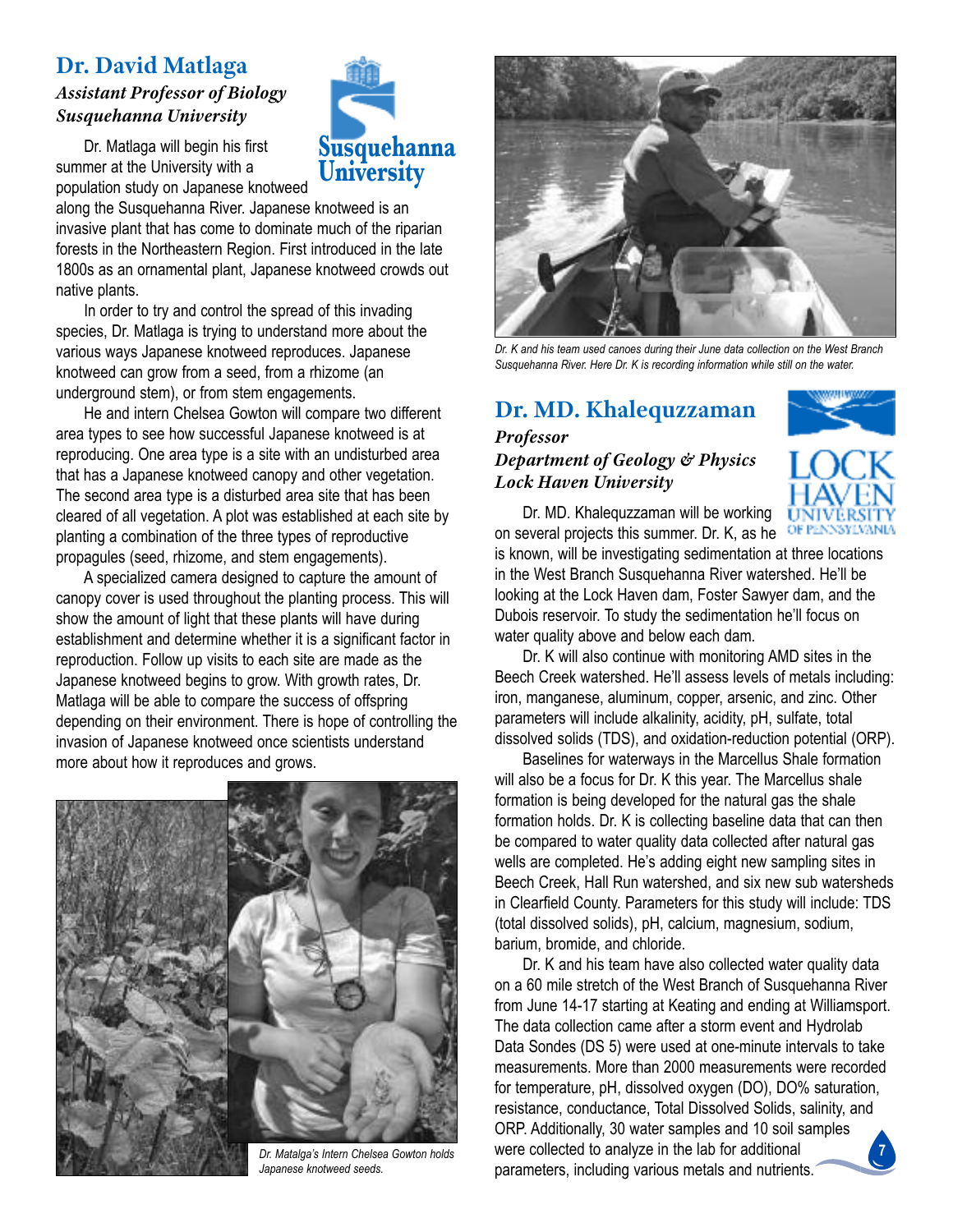# **Dr. David Matlaga**

#### *Assistant Professor of Biology Susquehanna University*

Dr. Matlaga will begin his first summer at the University with a population study on Japanese knotweed

along the Susquehanna River. Japanese knotweed is an invasive plant that has come to dominate much of the riparian forests in the Northeastern Region. First introduced in the late 1800s as an ornamental plant, Japanese knotweed crowds out native plants.

**Susquehanna University**

In order to try and control the spread of this invading species, Dr. Matlaga is trying to understand more about the various ways Japanese knotweed reproduces. Japanese knotweed can grow from a seed, from a rhizome (an underground stem), or from stem engagements.

he and intern chelsea Gowton will compare two different area types to see how successful Japanese knotweed is at reproducing. One area type is a site with an undisturbed area that has a Japanese knotweed canopy and other vegetation. The second area type is a disturbed area site that has been cleared of all vegetation. A plot was established at each site by planting a combination of the three types of reproductive propagules (seed, rhizome, and stem engagements).

A specialized camera designed to capture the amount of canopy cover is used throughout the planting process. This will show the amount of light that these plants will have during establishment and determine whether it is a significant factor in reproduction. follow up visits to each site are made as the Japanese knotweed begins to grow. With growth rates, Dr. Matlaga will be able to compare the success of offspring depending on their environment. There is hope of controlling the invasion of Japanese knotweed once scientists understand more about how it reproduces and grows.





*Dr. K and his team used canoes during their June data collection on the West Branch Susquehanna River. Here Dr. K is recording information while still on the water.*

# **Dr. MD. Khalequzzaman**

#### *Professor Department of Geology & Physics Lock Haven University*



Dr. MD. Khalequzzaman will be working on several projects this summer. Dr. K, as he OF PENNSYLVANIA

is known, will be investigating sedimentation at three locations in the West Branch Susquehanna River watershed. He'll be looking at the Lock Haven dam, Foster Sawyer dam, and the Dubois reservoir. To study the sedimentation he'll focus on water quality above and below each dam.

Dr. K will also continue with monitoring AMD sites in the Beech creek watershed. he'll assess levels of metals including: iron, manganese, aluminum, copper, arsenic, and zinc. Other parameters will include alkalinity, acidity, pH, sulfate, total dissolved solids (TDS), and oxidation-reduction potential (ORP).

Baselines for waterways in the Marcellus Shale formation will also be a focus for Dr. K this year. The Marcellus shale formation is being developed for the natural gas the shale formation holds. Dr. K is collecting baseline data that can then be compared to water quality data collected after natural gas wells are completed. He's adding eight new sampling sites in Beech Creek, Hall Run watershed, and six new sub watersheds in Clearfield County. Parameters for this study will include: TDS (total dissolved solids), ph, calcium, magnesium, sodium, barium, bromide, and chloride.

**7** Dr. K and his team have also collected water quality data on a 60 mile stretch of the West Branch of Susquehanna River from June 14-17 starting at keating and ending at Williamsport. The data collection came after a storm event and Hydrolab Data Sondes (DS 5) were used at one-minute intervals to take measurements. More than 2000 measurements were recorded for temperature, pH, dissolved oxygen (DO), DO% saturation, resistance, conductance, Total Dissolved Solids, salinity, and ORP. Additionally, 30 water samples and 10 soil samples were collected to analyze in the lab for additional parameters, including various metals and nutrients.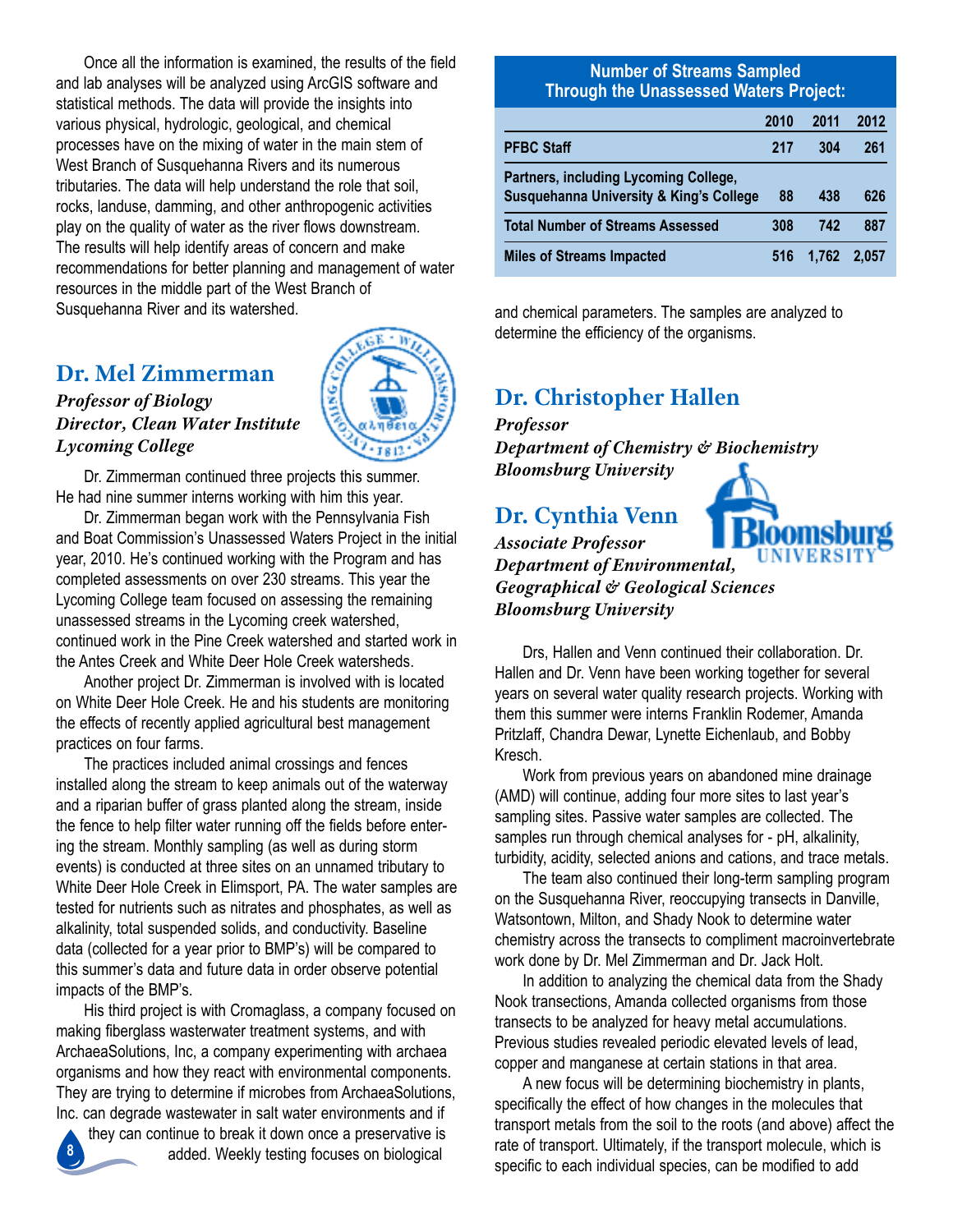once all the information is examined, the results of the field and lab analyses will be analyzed using ArcGIS software and statistical methods. The data will provide the insights into various physical, hydrologic, geological, and chemical processes have on the mixing of water in the main stem of West Branch of Susquehanna Rivers and its numerous tributaries. The data will help understand the role that soil, rocks, landuse, damming, and other anthropogenic activities play on the quality of water as the river flows downstream. The results will help identify areas of concern and make recommendations for better planning and management of water resources in the middle part of the West Branch of Susquehanna River and its watershed.

# **Dr. Mel Zimmerman**

#### *Professor of Biology Director, Clean Water Institute Lycoming College*

Dr. Zimmerman continued three projects this summer. He had nine summer interns working with him this year.

Dr. Zimmerman began work with the Pennsylvania Fish and Boat Commission's Unassessed Waters Project in the initial year, 2010. He's continued working with the Program and has completed assessments on over 230 streams. This year the lycoming college team focused on assessing the remaining unassessed streams in the lycoming creek watershed, continued work in the Pine Creek watershed and started work in the Antes Creek and White Deer Hole Creek watersheds.

another project Dr. Zimmerman is involved with is located on White Deer hole creek. he and his students are monitoring the effects of recently applied agricultural best management practices on four farms.

The practices included animal crossings and fences installed along the stream to keep animals out of the waterway and a riparian buffer of grass planted along the stream, inside the fence to help filter water running off the fields before entering the stream. Monthly sampling (as well as during storm events) is conducted at three sites on an unnamed tributary to White Deer Hole Creek in Elimsport, PA. The water samples are tested for nutrients such as nitrates and phosphates, as well as alkalinity, total suspended solids, and conductivity. Baseline data (collected for a year prior to BMP's) will be compared to this summer's data and future data in order observe potential impacts of the BMP's.

His third project is with Cromaglass, a company focused on making fiberglass wasterwater treatment systems, and with ArchaeaSolutions, Inc, a company experimenting with archaea organisms and how they react with environmental components. They are trying to determine if microbes from ArchaeaSolutions, inc. can degrade wastewater in salt water environments and if

they can continue to break it down once a preservative is added. Weekly testing focuses on biological **8**

#### **Number of Streams Sampled Through the Unassessed Waters Project:**

|                                                                                             | 2010 | 2011  | 2012  |
|---------------------------------------------------------------------------------------------|------|-------|-------|
| <b>PFBC Staff</b>                                                                           | 217  | 304   | 261   |
| Partners, including Lycoming College,<br><b>Susquehanna University &amp; King's College</b> | 88   | 438   | 626   |
| <b>Total Number of Streams Assessed</b>                                                     | 308  | 742   | 887   |
| <b>Miles of Streams Impacted</b>                                                            | 516  | 1.762 | 2.057 |

and chemical parameters. The samples are analyzed to determine the efficiency of the organisms.

# **Dr. Christopher Hallen**

*Professor*

*Department of Chemistry & Biochemistry Bloomsburg University*

# **Dr. Cynthia Venn**



*Associate Professor Department of Environmental, Geographical & Geological Sciences Bloomsburg University*

Drs, hallen and venn continued their collaboration. Dr. hallen and Dr. venn have been working together for several years on several water quality research projects. Working with them this summer were interns Franklin Rodemer, Amanda Pritzlaff, Chandra Dewar, Lynette Eichenlaub, and Bobby kresch.

Work from previous years on abandoned mine drainage (aMD) will continue, adding four more sites to last year's sampling sites. Passive water samples are collected. The samples run through chemical analyses for - pH, alkalinity, turbidity, acidity, selected anions and cations, and trace metals.

The team also continued their long-term sampling program on the Susquehanna River, reoccupying transects in Danville, Watsontown, Milton, and Shady Nook to determine water chemistry across the transects to compliment macroinvertebrate work done by Dr. Mel Zimmerman and Dr. Jack holt.

In addition to analyzing the chemical data from the Shady Nook transections, Amanda collected organisms from those transects to be analyzed for heavy metal accumulations. previous studies revealed periodic elevated levels of lead, copper and manganese at certain stations in that area.

A new focus will be determining biochemistry in plants, specifically the effect of how changes in the molecules that transport metals from the soil to the roots (and above) affect the rate of transport. Ultimately, if the transport molecule, which is specific to each individual species, can be modified to add

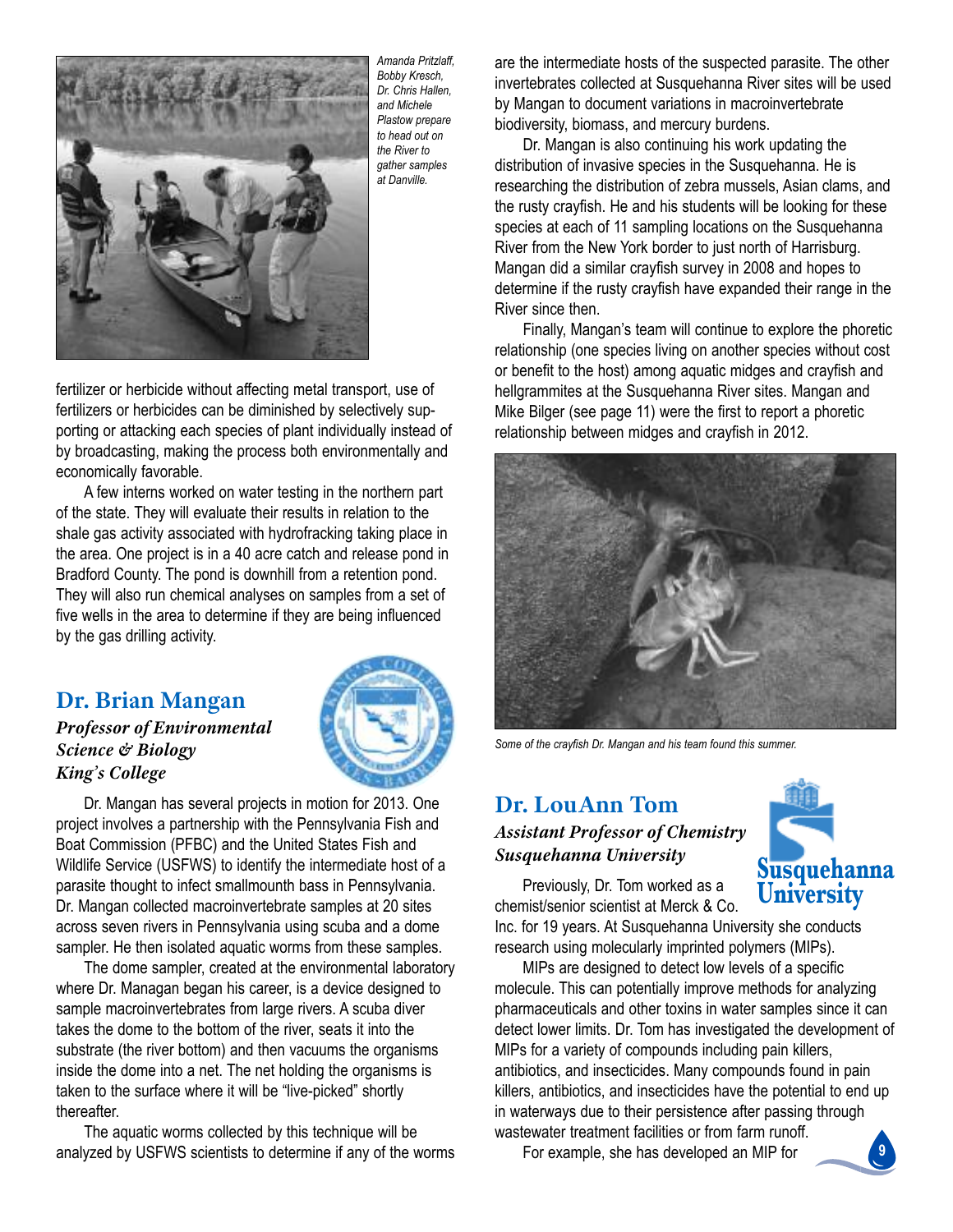

*Amanda Pritzlaff, Bobby Kresch, Dr. Chris Hallen, and Michele Plastow prepare to head out on the River to gather samples at Danville.*

fertilizer or herbicide without affecting metal transport, use of fertilizers or herbicides can be diminished by selectively supporting or attacking each species of plant individually instead of by broadcasting, making the process both environmentally and economically favorable.

A few interns worked on water testing in the northern part of the state. They will evaluate their results in relation to the shale gas activity associated with hydrofracking taking place in the area. One project is in a 40 acre catch and release pond in Bradford County. The pond is downhill from a retention pond. They will also run chemical analyses on samples from a set of five wells in the area to determine if they are being influenced by the gas drilling activity.

# **Dr. Brian Mangan**

#### *Professor of Environmental Science & Biology King's College*



Dr. Mangan has several projects in motion for 2013. One project involves a partnership with the pennsylvania fish and Boat Commission (PFBC) and the United States Fish and Wildlife Service (USFWS) to identify the intermediate host of a parasite thought to infect smallmounth bass in Pennsylvania. Dr. Mangan collected macroinvertebrate samples at 20 sites across seven rivers in Pennsylvania using scuba and a dome sampler. He then isolated aquatic worms from these samples.

The dome sampler, created at the environmental laboratory where Dr. Managan began his career, is a device designed to sample macroinvertebrates from large rivers. A scuba diver takes the dome to the bottom of the river, seats it into the substrate (the river bottom) and then vacuums the organisms inside the dome into a net. The net holding the organisms is taken to the surface where it will be "live-picked" shortly thereafter.

The aquatic worms collected by this technique will be analyzed by USFWS scientists to determine if any of the worms are the intermediate hosts of the suspected parasite. The other invertebrates collected at Susquehanna River sites will be used by Mangan to document variations in macroinvertebrate biodiversity, biomass, and mercury burdens.

Dr. Mangan is also continuing his work updating the distribution of invasive species in the Susquehanna. He is researching the distribution of zebra mussels, Asian clams, and the rusty crayfish. he and his students will be looking for these species at each of 11 sampling locations on the Susquehanna River from the New York border to just north of Harrisburg. Mangan did a similar crayfish survey in 2008 and hopes to determine if the rusty crayfish have expanded their range in the River since then.

finally, Mangan's team will continue to explore the phoretic relationship (one species living on another species without cost or benefit to the host) among aquatic midges and crayfish and hellgrammites at the Susquehanna River sites. Mangan and Mike Bilger (see page 11) were the first to report a phoretic relationship between midges and crayfish in 2012.



*Some of the crayfish Dr. Mangan and his team found this summer.*

# **Dr. LouAnn Tom** *Assistant Professor of Chemistry Susquehanna University*



Previously, Dr. Tom worked as a chemist/senior scientist at Merck & Co.

Inc. for 19 years. At Susquehanna University she conducts research using molecularly imprinted polymers (MIPs).

Mips are designed to detect low levels of a specific molecule. This can potentially improve methods for analyzing pharmaceuticals and other toxins in water samples since it can detect lower limits. Dr. Tom has investigated the development of Mips for a variety of compounds including pain killers, antibiotics, and insecticides. Many compounds found in pain killers, antibiotics, and insecticides have the potential to end up in waterways due to their persistence after passing through wastewater treatment facilities or from farm runoff.

for example, she has developed an Mip for

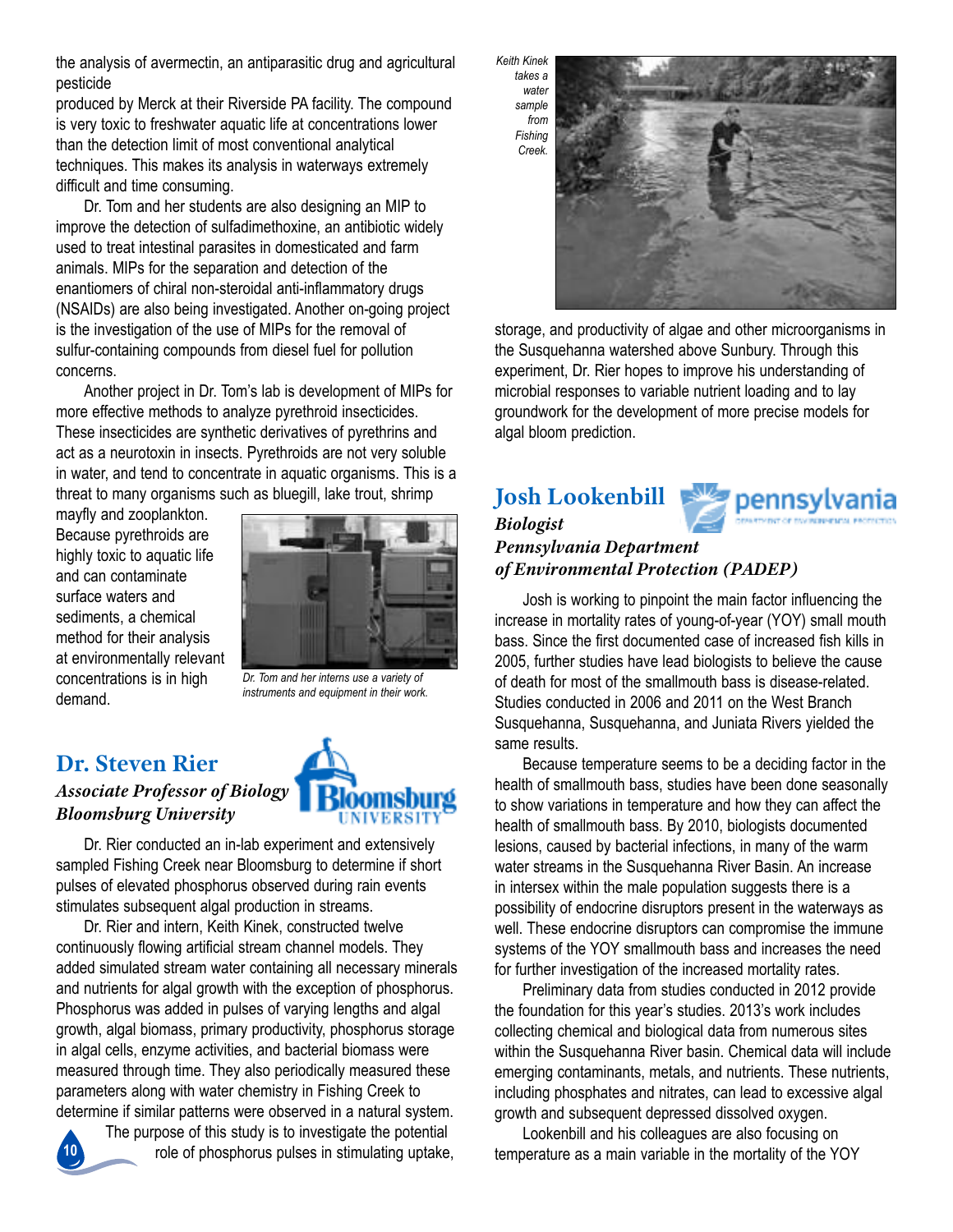the analysis of avermectin, an antiparasitic drug and agricultural pesticide

produced by Merck at their Riverside PA facility. The compound is very toxic to freshwater aquatic life at concentrations lower than the detection limit of most conventional analytical techniques. This makes its analysis in waterways extremely difficult and time consuming.

Dr. Tom and her students are also designing an MIP to improve the detection of sulfadimethoxine, an antibiotic widely used to treat intestinal parasites in domesticated and farm animals. Mips for the separation and detection of the enantiomers of chiral non-steroidal anti-inflammatory drugs (NSAIDs) are also being investigated. Another on-going project is the investigation of the use of Mips for the removal of sulfur-containing compounds from diesel fuel for pollution concerns.

Another project in Dr. Tom's lab is development of MIPs for more effective methods to analyze pyrethroid insecticides. These insecticides are synthetic derivatives of pyrethrins and act as a neurotoxin in insects. Pyrethroids are not very soluble in water, and tend to concentrate in aquatic organisms. This is a threat to many organisms such as bluegill, lake trout, shrimp

mayfly and zooplankton. Because pyrethroids are highly toxic to aquatic life and can contaminate surface waters and sediments, a chemical method for their analysis at environmentally relevant concentrations is in high demand.



*Dr. Tom and her interns use a variety of instruments and equipment in their work.*

# **Dr. Steven Rier**

*Associate Professor of Biology Bloomsburg University*



Dr. Rier conducted an in-lab experiment and extensively sampled Fishing Creek near Bloomsburg to determine if short pulses of elevated phosphorus observed during rain events stimulates subsequent algal production in streams.

Dr. Rier and intern, Keith Kinek, constructed twelve continuously flowing artificial stream channel models. They added simulated stream water containing all necessary minerals and nutrients for algal growth with the exception of phosphorus. phosphorus was added in pulses of varying lengths and algal growth, algal biomass, primary productivity, phosphorus storage in algal cells, enzyme activities, and bacterial biomass were measured through time. They also periodically measured these parameters along with water chemistry in fishing creek to determine if similar patterns were observed in a natural system.

**10**

The purpose of this study is to investigate the potential role of phosphorus pulses in stimulating uptake,



storage, and productivity of algae and other microorganisms in the Susquehanna watershed above Sunbury. Through this experiment, Dr. Rier hopes to improve his understanding of microbial responses to variable nutrient loading and to lay groundwork for the development of more precise models for algal bloom prediction.

# **Josh Lookenbill**



#### *Biologist Pennsylvania Department of Environmental Protection (PADEP)*

Josh is working to pinpoint the main factor influencing the increase in mortality rates of young-of-year (YOY) small mouth bass. since the first documented case of increased fish kills in 2005, further studies have lead biologists to believe the cause of death for most of the smallmouth bass is disease-related. studies conducted in 2006 and 2011 on the West Branch Susquehanna, Susquehanna, and Juniata Rivers yielded the same results.

Because temperature seems to be a deciding factor in the health of smallmouth bass, studies have been done seasonally to show variations in temperature and how they can affect the health of smallmouth bass. By 2010, biologists documented lesions, caused by bacterial infections, in many of the warm water streams in the Susquehanna River Basin. An increase in intersex within the male population suggests there is a possibility of endocrine disruptors present in the waterways as well. These endocrine disruptors can compromise the immune systems of the YOY smallmouth bass and increases the need for further investigation of the increased mortality rates.

preliminary data from studies conducted in 2012 provide the foundation for this year's studies. 2013's work includes collecting chemical and biological data from numerous sites within the Susquehanna River basin. Chemical data will include emerging contaminants, metals, and nutrients. These nutrients, including phosphates and nitrates, can lead to excessive algal growth and subsequent depressed dissolved oxygen.

Lookenbill and his colleagues are also focusing on temperature as a main variable in the mortality of the YOY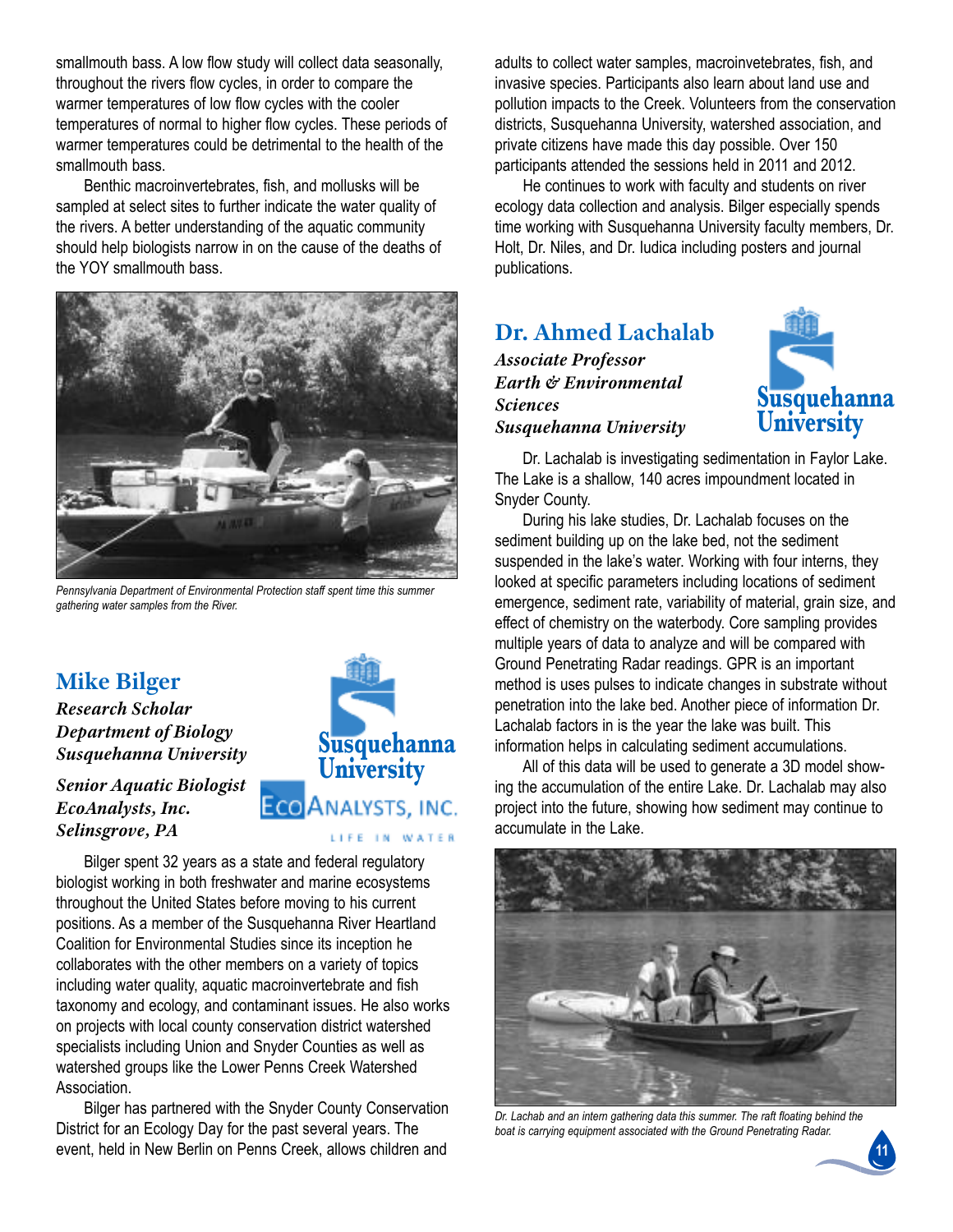smallmouth bass. A low flow study will collect data seasonally, throughout the rivers flow cycles, in order to compare the warmer temperatures of low flow cycles with the cooler temperatures of normal to higher flow cycles. These periods of warmer temperatures could be detrimental to the health of the smallmouth bass.

Benthic macroinvertebrates, fish, and mollusks will be sampled at select sites to further indicate the water quality of the rivers. a better understanding of the aquatic community should help biologists narrow in on the cause of the deaths of the yoy smallmouth bass.



*Pennsylvania Department of Environmental Protection staff spent time this summer gathering water samples from the River.*

# **Mike Bilger**

*Research Scholar Department of Biology Susquehanna University*

*Senior Aquatic Biologist EcoAnalysts, Inc. Selinsgrove, PA*



Bilger spent 32 years as a state and federal regulatory biologist working in both freshwater and marine ecosystems throughout the United States before moving to his current positions. As a member of the Susquehanna River Heartland Coalition for Environmental Studies since its inception he collaborates with the other members on a variety of topics including water quality, aquatic macroinvertebrate and fish taxonomy and ecology, and contaminant issues. he also works on projects with local county conservation district watershed specialists including Union and Snyder Counties as well as watershed groups like the Lower Penns Creek Watershed Association.

Bilger has partnered with the Snyder County Conservation District for an Ecology Day for the past several years. The event, held in New Berlin on Penns Creek, allows children and

adults to collect water samples, macroinvetebrates, fish, and invasive species. Participants also learn about land use and pollution impacts to the creek. volunteers from the conservation districts, Susquehanna University, watershed association, and private citizens have made this day possible. Over 150 participants attended the sessions held in 2011 and 2012.

he continues to work with faculty and students on river ecology data collection and analysis. Bilger especially spends time working with Susquehanna University faculty members, Dr. Holt, Dr. Niles, and Dr. ludica including posters and journal publications.

# **Dr. Ahmed Lachalab**

*Associate Professor Earth & Environmental Sciences Susquehanna University*



Dr. Lachalab is investigating sedimentation in Faylor Lake. The Lake is a shallow, 140 acres impoundment located in Snyder County.

During his lake studies, Dr. lachalab focuses on the sediment building up on the lake bed, not the sediment suspended in the lake's water. Working with four interns, they looked at specific parameters including locations of sediment emergence, sediment rate, variability of material, grain size, and effect of chemistry on the waterbody. core sampling provides multiple years of data to analyze and will be compared with Ground Penetrating Radar readings. GPR is an important method is uses pulses to indicate changes in substrate without penetration into the lake bed. Another piece of information Dr. Lachalab factors in is the year the lake was built. This information helps in calculating sediment accumulations.

all of this data will be used to generate a 3D model showing the accumulation of the entire lake. Dr. lachalab may also project into the future, showing how sediment may continue to accumulate in the lake.



*Dr. Lachab and an intern gathering data this summer. The raft floating behind the boat is carrying equipment associated with the Ground Penetrating Radar.*

**11**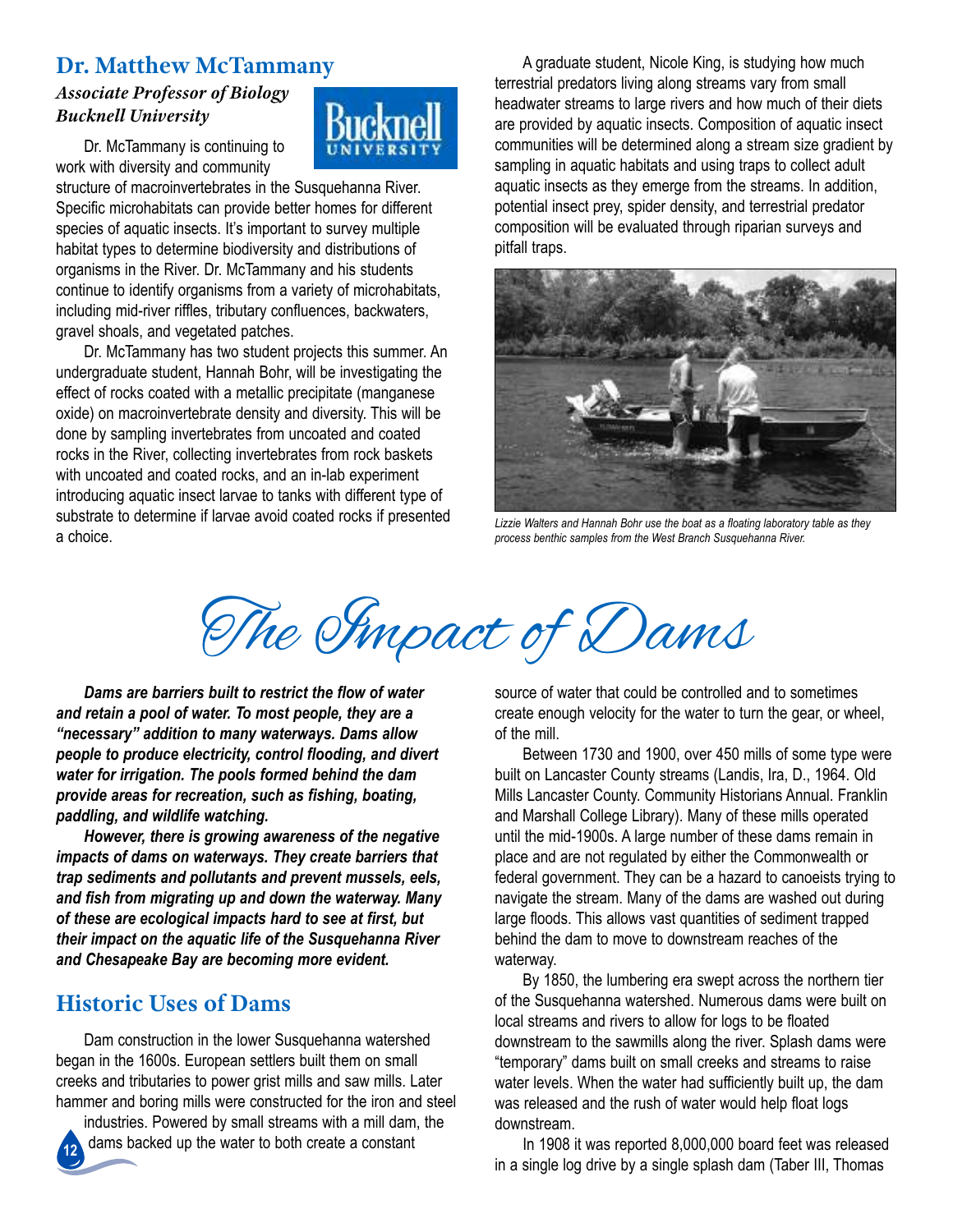# **Dr. Matthew McTammany**

#### *Associate Professor of Biology Bucknell University*

Dr. McTammany is continuing to work with diversity and community

structure of macroinvertebrates in the Susquehanna River. specific microhabitats can provide better homes for different species of aquatic insects. It's important to survey multiple habitat types to determine biodiversity and distributions of organisms in the River. Dr. McTammany and his students continue to identify organisms from a variety of microhabitats, including mid-river riffles, tributary confluences, backwaters, gravel shoals, and vegetated patches.

Dr. McTammany has two student projects this summer. An undergraduate student, hannah Bohr, will be investigating the effect of rocks coated with a metallic precipitate (manganese oxide) on macroinvertebrate density and diversity. This will be done by sampling invertebrates from uncoated and coated rocks in the River, collecting invertebrates from rock baskets with uncoated and coated rocks, and an in-lab experiment introducing aquatic insect larvae to tanks with different type of substrate to determine if larvae avoid coated rocks if presented a choice.

A graduate student, Nicole King, is studying how much terrestrial predators living along streams vary from small headwater streams to large rivers and how much of their diets are provided by aquatic insects. composition of aquatic insect communities will be determined along a stream size gradient by sampling in aquatic habitats and using traps to collect adult aquatic insects as they emerge from the streams. in addition, potential insect prey, spider density, and terrestrial predator composition will be evaluated through riparian surveys and pitfall traps.



*Lizzie Walters and Hannah Bohr use the boat as a floating laboratory table as they process benthic samples from the West Branch Susquehanna River.*

The Simpact of Dams

*Dams are barriers built to restrict the flow of water and retain a pool of water. To most people, they are a "necessary" addition to many waterways. Dams allow people to produce electricity, control flooding, and divert water for irrigation. The pools formed behind the dam provide areas for recreation, such as fishing, boating, paddling, and wildlife watching.*

*However, there is growing awareness of the negative impacts of dams on waterways. They create barriers that trap sediments and pollutants and prevent mussels, eels, and fish from migrating up and down the waterway. Many of these are ecological impacts hard to see at first, but their impact on the aquatic life of the Susquehanna River and Chesapeake Bay are becoming more evident.*

# **Historic Uses of Dams**

Dam construction in the lower Susquehanna watershed began in the 1600s. European settlers built them on small creeks and tributaries to power grist mills and saw mills. later hammer and boring mills were constructed for the iron and steel

**12** industries. Powered by small streams with a mill dam, the dams backed up the water to both create a constant

source of water that could be controlled and to sometimes create enough velocity for the water to turn the gear, or wheel, of the mill.

Between 1730 and 1900, over 450 mills of some type were built on Lancaster County streams (Landis, Ira, D., 1964. Old Mills Lancaster County. Community Historians Annual. Franklin and Marshall college library). Many of these mills operated until the mid-1900s. A large number of these dams remain in place and are not regulated by either the commonwealth or federal government. They can be a hazard to canoeists trying to navigate the stream. Many of the dams are washed out during large floods. This allows vast quantities of sediment trapped behind the dam to move to downstream reaches of the waterway.

By 1850, the lumbering era swept across the northern tier of the Susquehanna watershed. Numerous dams were built on local streams and rivers to allow for logs to be floated downstream to the sawmills along the river. Splash dams were "temporary" dams built on small creeks and streams to raise water levels. When the water had sufficiently built up, the dam was released and the rush of water would help float logs downstream.

in 1908 it was reported 8,000,000 board feet was released in a single log drive by a single splash dam (Taber III, Thomas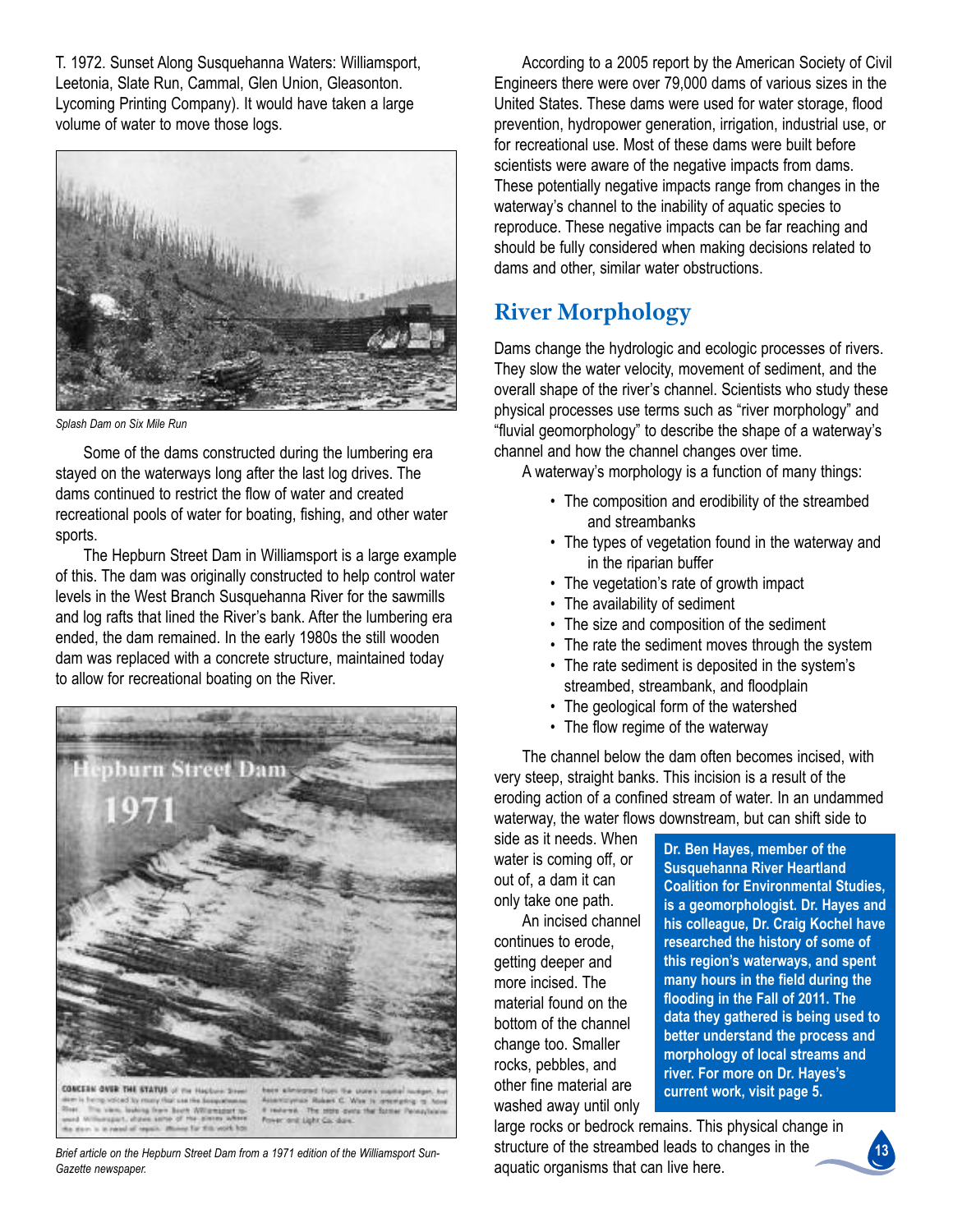t. 1972. sunset along susquehanna Waters: Williamsport, Leetonia, Slate Run, Cammal, Glen Union, Gleasonton. Lycoming Printing Company). It would have taken a large volume of water to move those logs.



*Splash Dam on Six Mile Run*

some of the dams constructed during the lumbering era stayed on the waterways long after the last log drives. The dams continued to restrict the flow of water and created recreational pools of water for boating, fishing, and other water sports.

The Hepburn Street Dam in Williamsport is a large example of this. The dam was originally constructed to help control water levels in the West Branch Susquehanna River for the sawmills and log rafts that lined the River's bank. After the lumbering era ended, the dam remained. in the early 1980s the still wooden dam was replaced with a concrete structure, maintained today to allow for recreational boating on the River.



re boot Wilamsson of the or far this work hot

*Brief article on the Hepburn Street Dam from a 1971 edition of the Williamsport Sun-Gazette newspaper.*

According to a 2005 report by the American Society of Civil Engineers there were over 79,000 dams of various sizes in the United States. These dams were used for water storage, flood prevention, hydropower generation, irrigation, industrial use, or for recreational use. Most of these dams were built before scientists were aware of the negative impacts from dams. These potentially negative impacts range from changes in the waterway's channel to the inability of aquatic species to reproduce. These negative impacts can be far reaching and should be fully considered when making decisions related to dams and other, similar water obstructions.

# **River Morphology**

Dams change the hydrologic and ecologic processes of rivers. They slow the water velocity, movement of sediment, and the overall shape of the river's channel. Scientists who study these physical processes use terms such as "river morphology" and "fluvial geomorphology" to describe the shape of a waterway's channel and how the channel changes over time.

A waterway's morphology is a function of many things:

- The composition and erodibility of the streambed and streambanks
- The types of vegetation found in the waterway and in the riparian buffer
- The vegetation's rate of growth impact
- The availability of sediment
- The size and composition of the sediment
- The rate the sediment moves through the system
- The rate sediment is deposited in the system's streambed, streambank, and floodplain
- The geological form of the watershed
- The flow regime of the waterway

The channel below the dam often becomes incised, with very steep, straight banks. This incision is a result of the eroding action of a confined stream of water. in an undammed waterway, the water flows downstream, but can shift side to

side as it needs. When water is coming off, or out of, a dam it can only take one path.

An incised channel continues to erode, getting deeper and more incised. The material found on the bottom of the channel change too. Smaller rocks, pebbles, and other fine material are washed away until only **Dr. ben Hayes, member of the Susquehanna River Heartland Coalition for Environmental Studies, is a geomorphologist. Dr. Hayes and his colleague, Dr. Craig Kochel have researched the history of some of this region's waterways, and spent many hours in the field during the flooding in the Fall of 2011. The data they gathered is being used to better understand the process and morphology of local streams and river. For more on Dr. Hayes's current work, visit page 5.**

large rocks or bedrock remains. This physical change in structure of the streambed leads to changes in the aquatic organisms that can live here.

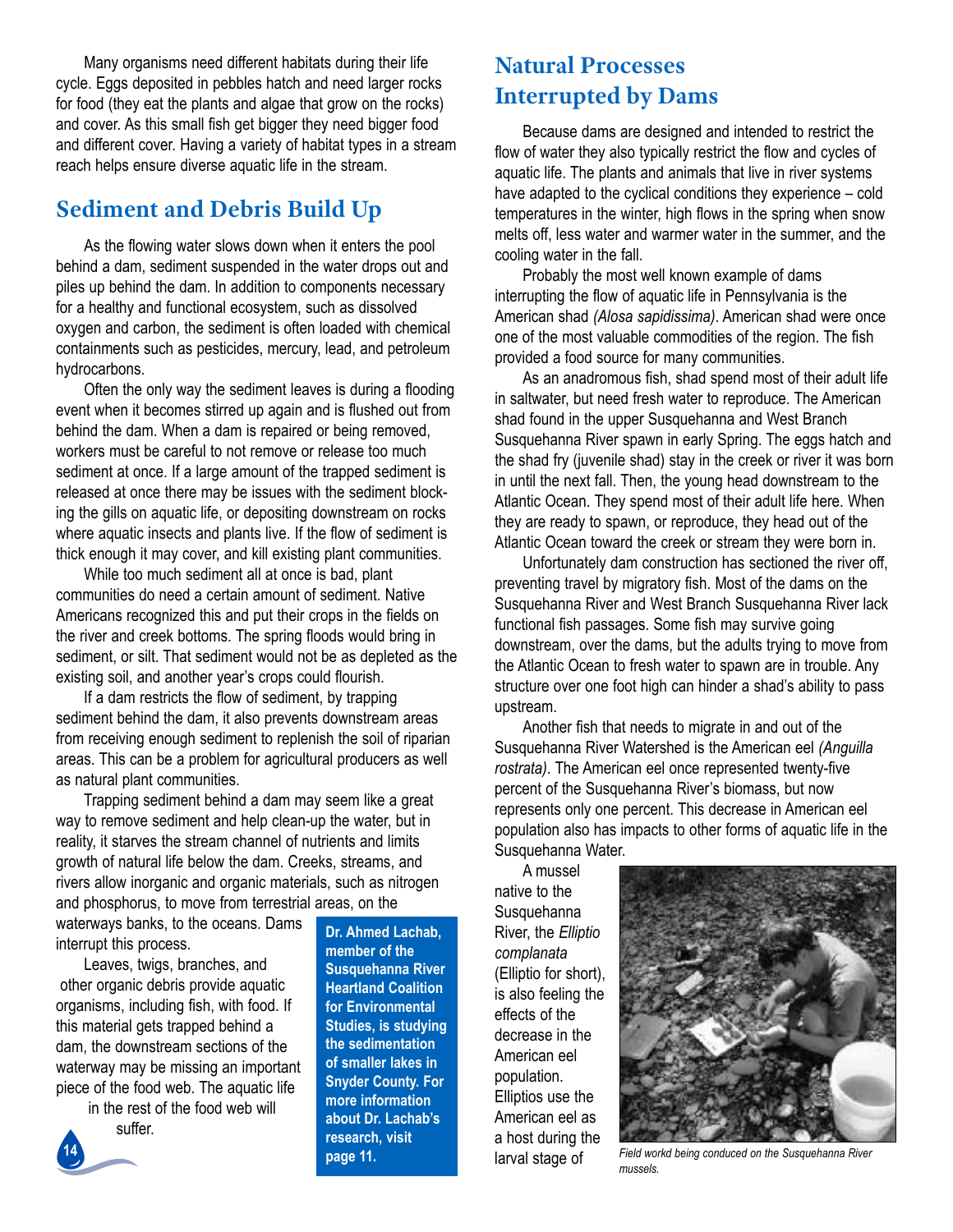Many organisms need different habitats during their life cycle. Eggs deposited in pebbles hatch and need larger rocks for food (they eat the plants and algae that grow on the rocks) and cover. As this small fish get bigger they need bigger food and different cover. having a variety of habitat types in a stream reach helps ensure diverse aquatic life in the stream.

# **Sediment and Debris Build Up**

As the flowing water slows down when it enters the pool behind a dam, sediment suspended in the water drops out and piles up behind the dam. in addition to components necessary for a healthy and functional ecosystem, such as dissolved oxygen and carbon, the sediment is often loaded with chemical containments such as pesticides, mercury, lead, and petroleum hydrocarbons.

often the only way the sediment leaves is during a flooding event when it becomes stirred up again and is flushed out from behind the dam. When a dam is repaired or being removed, workers must be careful to not remove or release too much sediment at once. If a large amount of the trapped sediment is released at once there may be issues with the sediment blocking the gills on aquatic life, or depositing downstream on rocks where aquatic insects and plants live. If the flow of sediment is thick enough it may cover, and kill existing plant communities.

While too much sediment all at once is bad, plant communities do need a certain amount of sediment. Native Americans recognized this and put their crops in the fields on the river and creek bottoms. The spring floods would bring in sediment, or silt. That sediment would not be as depleted as the existing soil, and another year's crops could flourish.

If a dam restricts the flow of sediment, by trapping sediment behind the dam, it also prevents downstream areas from receiving enough sediment to replenish the soil of riparian areas. This can be a problem for agricultural producers as well as natural plant communities.

trapping sediment behind a dam may seem like a great way to remove sediment and help clean-up the water, but in reality, it starves the stream channel of nutrients and limits growth of natural life below the dam. Creeks, streams, and rivers allow inorganic and organic materials, such as nitrogen and phosphorus, to move from terrestrial areas, on the

waterways banks, to the oceans. Dams interrupt this process.

Leaves, twigs, branches, and other organic debris provide aquatic organisms, including fish, with food. if this material gets trapped behind a dam, the downstream sections of the waterway may be missing an important piece of the food web. The aquatic life

in the rest of the food web will



**Dr. Ahmed Lachab, member of the Susquehanna River Heartland Coalition for Environmental Studies, is studying the sedimentation of smaller lakes in Snyder County. For more information about Dr. Lachab's research, visit page 11.**

# **Natural Processes Interrupted by Dams**

Because dams are designed and intended to restrict the flow of water they also typically restrict the flow and cycles of aquatic life. The plants and animals that live in river systems have adapted to the cyclical conditions they experience – cold temperatures in the winter, high flows in the spring when snow melts off, less water and warmer water in the summer, and the cooling water in the fall.

probably the most well known example of dams interrupting the flow of aquatic life in Pennsylvania is the American shad *(Alosa sapidissima)*. American shad were once one of the most valuable commodities of the region. The fish provided a food source for many communities.

As an anadromous fish, shad spend most of their adult life in saltwater, but need fresh water to reproduce. The American shad found in the upper Susquehanna and West Branch Susquehanna River spawn in early Spring. The eggs hatch and the shad fry (juvenile shad) stay in the creek or river it was born in until the next fall. Then, the young head downstream to the Atlantic Ocean. They spend most of their adult life here. When they are ready to spawn, or reproduce, they head out of the Atlantic Ocean toward the creek or stream they were born in.

Unfortunately dam construction has sectioned the river off, preventing travel by migratory fish. Most of the dams on the Susquehanna River and West Branch Susquehanna River lack functional fish passages. Some fish may survive going downstream, over the dams, but the adults trying to move from the Atlantic Ocean to fresh water to spawn are in trouble. Any structure over one foot high can hinder a shad's ability to pass upstream.

Another fish that needs to migrate in and out of the Susquehanna River Watershed is the American eel *(Anguilla*) rostrata). The American eel once represented twenty-five percent of the Susquehanna River's biomass, but now represents only one percent. This decrease in American eel population also has impacts to other forms of aquatic life in the susquehanna Water.

a mussel native to the **Susquehanna River, the Elliptio** *complanata* (elliptio for short), is also feeling the effects of the decrease in the american eel population. Elliptios use the american eel as a host during the



larval stage of *Field workd being conduced on the Susquehanna River mussels.*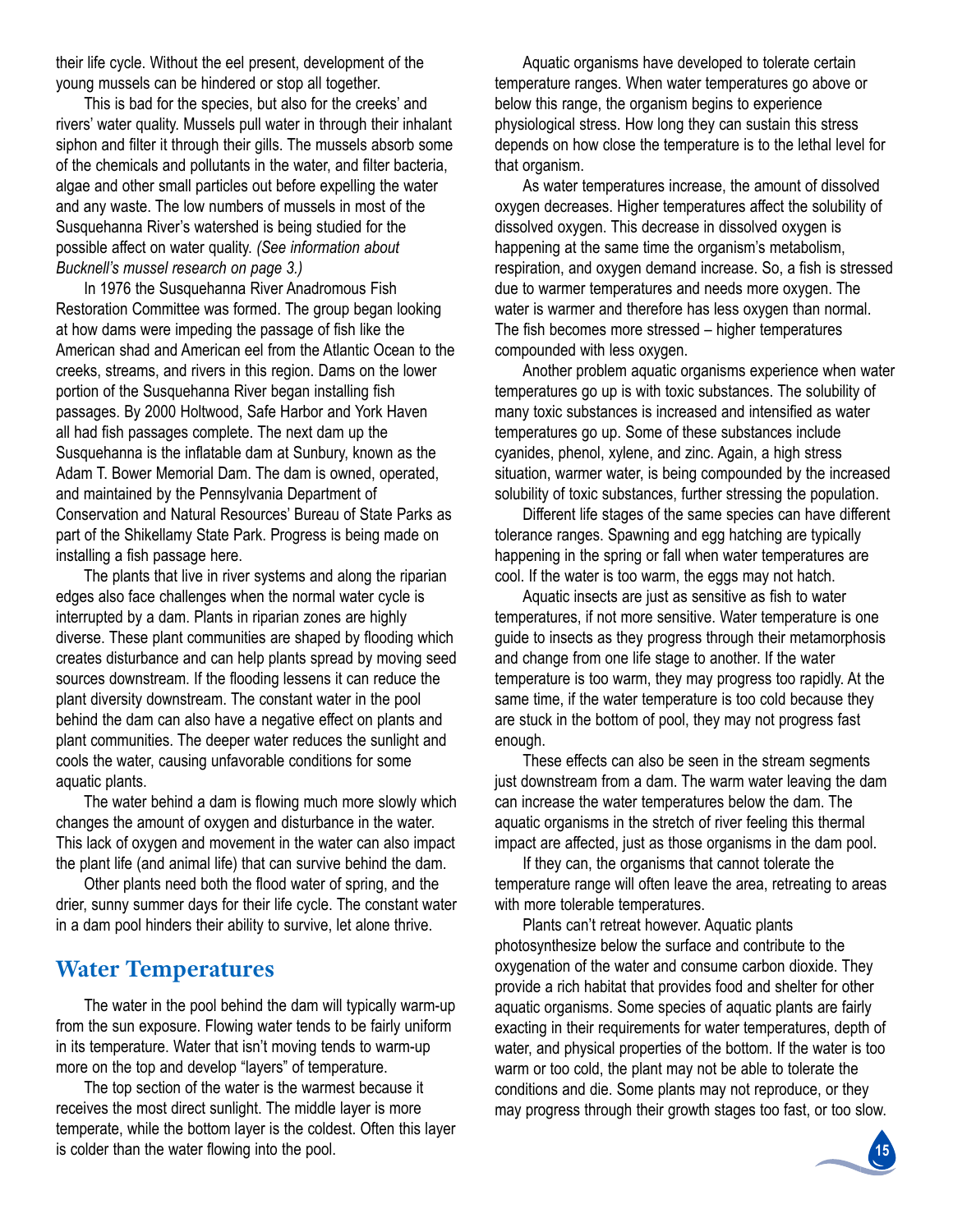their life cycle. Without the eel present, development of the young mussels can be hindered or stop all together.

This is bad for the species, but also for the creeks' and rivers' water quality. Mussels pull water in through their inhalant siphon and filter it through their gills. The mussels absorb some of the chemicals and pollutants in the water, and filter bacteria, algae and other small particles out before expelling the water and any waste. The low numbers of mussels in most of the Susquehanna River's watershed is being studied for the possible affect on water quality. *(See information about Bucknell's mussel research on page 3.)*

In 1976 the Susquehanna River Anadromous Fish Restoration Committee was formed. The group began looking at how dams were impeding the passage of fish like the American shad and American eel from the Atlantic Ocean to the creeks, streams, and rivers in this region. Dams on the lower portion of the Susquehanna River began installing fish passages. By 2000 Holtwood, Safe Harbor and York Haven all had fish passages complete. The next dam up the Susquehanna is the inflatable dam at Sunbury, known as the Adam T. Bower Memorial Dam. The dam is owned, operated, and maintained by the Pennsylvania Department of Conservation and Natural Resources' Bureau of State Parks as part of the Shikellamy State Park. Progress is being made on installing a fish passage here.

The plants that live in river systems and along the riparian edges also face challenges when the normal water cycle is interrupted by a dam. Plants in riparian zones are highly diverse. These plant communities are shaped by flooding which creates disturbance and can help plants spread by moving seed sources downstream. if the flooding lessens it can reduce the plant diversity downstream. The constant water in the pool behind the dam can also have a negative effect on plants and plant communities. The deeper water reduces the sunlight and cools the water, causing unfavorable conditions for some aquatic plants.

The water behind a dam is flowing much more slowly which changes the amount of oxygen and disturbance in the water. This lack of oxygen and movement in the water can also impact the plant life (and animal life) that can survive behind the dam.

other plants need both the flood water of spring, and the drier, sunny summer days for their life cycle. The constant water in a dam pool hinders their ability to survive, let alone thrive.

### **Water Temperatures**

The water in the pool behind the dam will typically warm-up from the sun exposure. flowing water tends to be fairly uniform in its temperature. Water that isn't moving tends to warm-up more on the top and develop "layers" of temperature.

The top section of the water is the warmest because it receives the most direct sunlight. The middle layer is more temperate, while the bottom layer is the coldest. often this layer is colder than the water flowing into the pool.

Aquatic organisms have developed to tolerate certain temperature ranges. When water temperatures go above or below this range, the organism begins to experience physiological stress. how long they can sustain this stress depends on how close the temperature is to the lethal level for that organism.

As water temperatures increase, the amount of dissolved oxygen decreases. higher temperatures affect the solubility of dissolved oxygen. This decrease in dissolved oxygen is happening at the same time the organism's metabolism, respiration, and oxygen demand increase. So, a fish is stressed due to warmer temperatures and needs more oxygen. The water is warmer and therefore has less oxygen than normal. The fish becomes more stressed – higher temperatures compounded with less oxygen.

another problem aquatic organisms experience when water temperatures go up is with toxic substances. The solubility of many toxic substances is increased and intensified as water temperatures go up. Some of these substances include cyanides, phenol, xylene, and zinc. Again, a high stress situation, warmer water, is being compounded by the increased solubility of toxic substances, further stressing the population.

Different life stages of the same species can have different tolerance ranges. Spawning and egg hatching are typically happening in the spring or fall when water temperatures are cool. if the water is too warm, the eggs may not hatch.

Aquatic insects are just as sensitive as fish to water temperatures, if not more sensitive. Water temperature is one guide to insects as they progress through their metamorphosis and change from one life stage to another. if the water temperature is too warm, they may progress too rapidly. At the same time, if the water temperature is too cold because they are stuck in the bottom of pool, they may not progress fast enough.

These effects can also be seen in the stream segments just downstream from a dam. The warm water leaving the dam can increase the water temperatures below the dam. The aquatic organisms in the stretch of river feeling this thermal impact are affected, just as those organisms in the dam pool.

If they can, the organisms that cannot tolerate the temperature range will often leave the area, retreating to areas with more tolerable temperatures.

Plants can't retreat however. Aquatic plants photosynthesize below the surface and contribute to the oxygenation of the water and consume carbon dioxide. They provide a rich habitat that provides food and shelter for other aquatic organisms. Some species of aquatic plants are fairly exacting in their requirements for water temperatures, depth of water, and physical properties of the bottom. if the water is too warm or too cold, the plant may not be able to tolerate the conditions and die. Some plants may not reproduce, or they may progress through their growth stages too fast, or too slow.

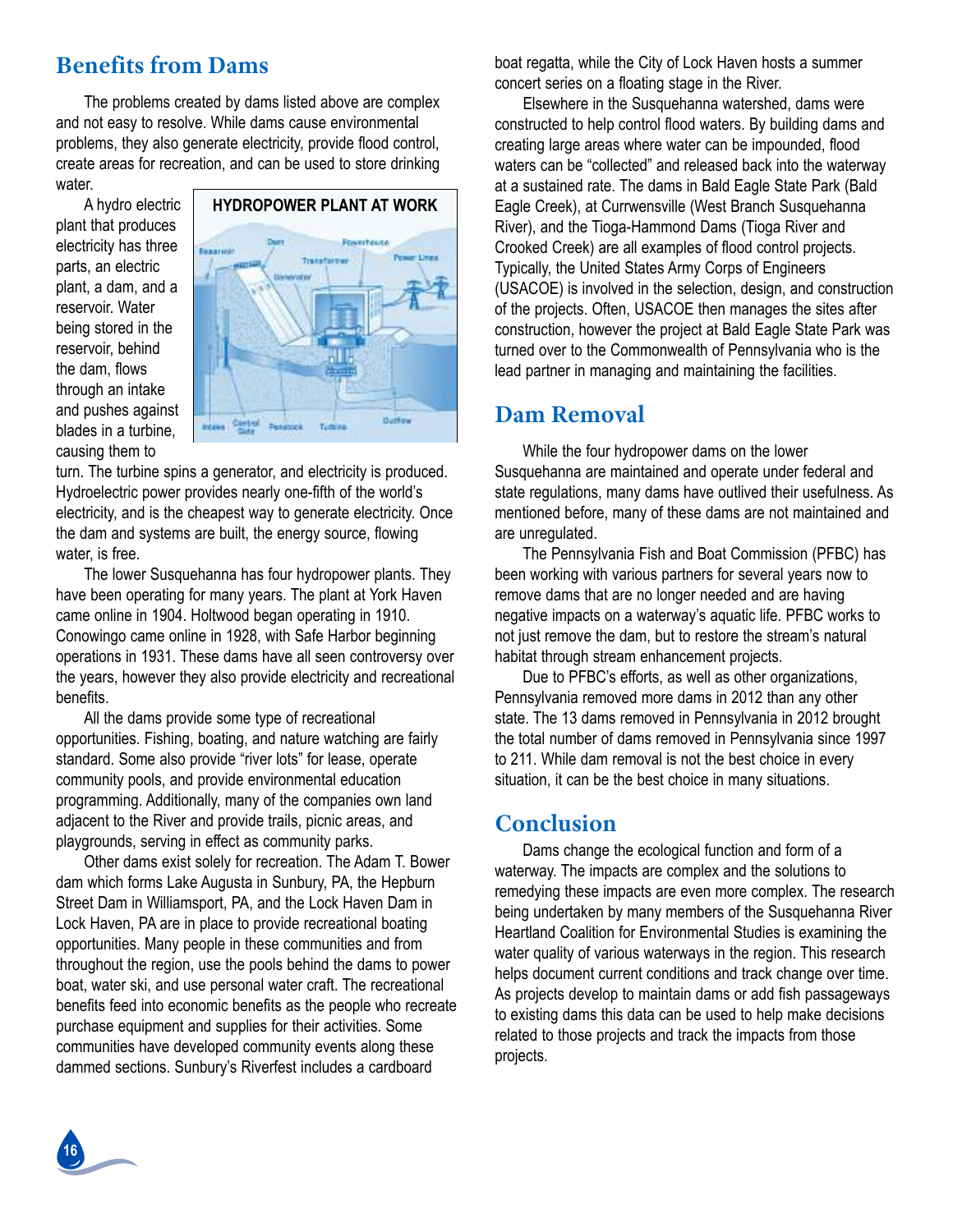# **Benefits from Dams**

The problems created by dams listed above are complex and not easy to resolve. While dams cause environmental problems, they also generate electricity, provide flood control, create areas for recreation, and can be used to store drinking water.

a hydro electric plant that produces electricity has three parts, an electric plant, a dam, and a reservoir. Water being stored in the reservoir, behind the dam, flows through an intake and pushes against blades in a turbine, causing them to



turn. The turbine spins a generator, and electricity is produced. hydroelectric power provides nearly one-fifth of the world's electricity, and is the cheapest way to generate electricity. Once the dam and systems are built, the energy source, flowing water, is free.

The lower Susquehanna has four hydropower plants. They have been operating for many years. The plant at York Haven came online in 1904. Holtwood began operating in 1910. Conowingo came online in 1928, with Safe Harbor beginning operations in 1931. These dams have all seen controversy over the years, however they also provide electricity and recreational benefits.

All the dams provide some type of recreational opportunities. fishing, boating, and nature watching are fairly standard. Some also provide "river lots" for lease, operate community pools, and provide environmental education programming. Additionally, many of the companies own land adjacent to the River and provide trails, picnic areas, and playgrounds, serving in effect as community parks.

Other dams exist solely for recreation. The Adam T. Bower dam which forms Lake Augusta in Sunbury, PA, the Hepburn Street Dam in Williamsport, PA, and the Lock Haven Dam in Lock Haven, PA are in place to provide recreational boating opportunities. Many people in these communities and from throughout the region, use the pools behind the dams to power boat, water ski, and use personal water craft. The recreational benefits feed into economic benefits as the people who recreate purchase equipment and supplies for their activities. some communities have developed community events along these dammed sections. Sunbury's Riverfest includes a cardboard

boat regatta, while the city of lock haven hosts a summer concert series on a floating stage in the River.

Elsewhere in the Susquehanna watershed, dams were constructed to help control flood waters. By building dams and creating large areas where water can be impounded, flood waters can be "collected" and released back into the waterway at a sustained rate. The dams in Bald Eagle State Park (Bald Eagle Creek), at Currwensville (West Branch Susquehanna River), and the Tioga-Hammond Dams (Tioga River and crooked creek) are all examples of flood control projects. Typically, the United States Army Corps of Engineers (usacoe) is involved in the selection, design, and construction of the projects. Often, USACOE then manages the sites after construction, however the project at Bald Eagle State Park was turned over to the Commonwealth of Pennsylvania who is the lead partner in managing and maintaining the facilities.

## **Dam Removal**

While the four hydropower dams on the lower susquehanna are maintained and operate under federal and state regulations, many dams have outlived their usefulness. As mentioned before, many of these dams are not maintained and are unregulated.

The Pennsylvania Fish and Boat Commission (PFBC) has been working with various partners for several years now to remove dams that are no longer needed and are having negative impacts on a waterway's aquatic life. PFBC works to not just remove the dam, but to restore the stream's natural habitat through stream enhancement projects.

Due to PFBC's efforts, as well as other organizations, pennsylvania removed more dams in 2012 than any other state. The 13 dams removed in Pennsylvania in 2012 brought the total number of dams removed in Pennsylvania since 1997 to 211. While dam removal is not the best choice in every situation, it can be the best choice in many situations.

# **Conclusion**

Dams change the ecological function and form of a waterway. The impacts are complex and the solutions to remedying these impacts are even more complex. The research being undertaken by many members of the Susquehanna River Heartland Coalition for Environmental Studies is examining the water quality of various waterways in the region. This research helps document current conditions and track change over time. As projects develop to maintain dams or add fish passageways to existing dams this data can be used to help make decisions related to those projects and track the impacts from those projects.

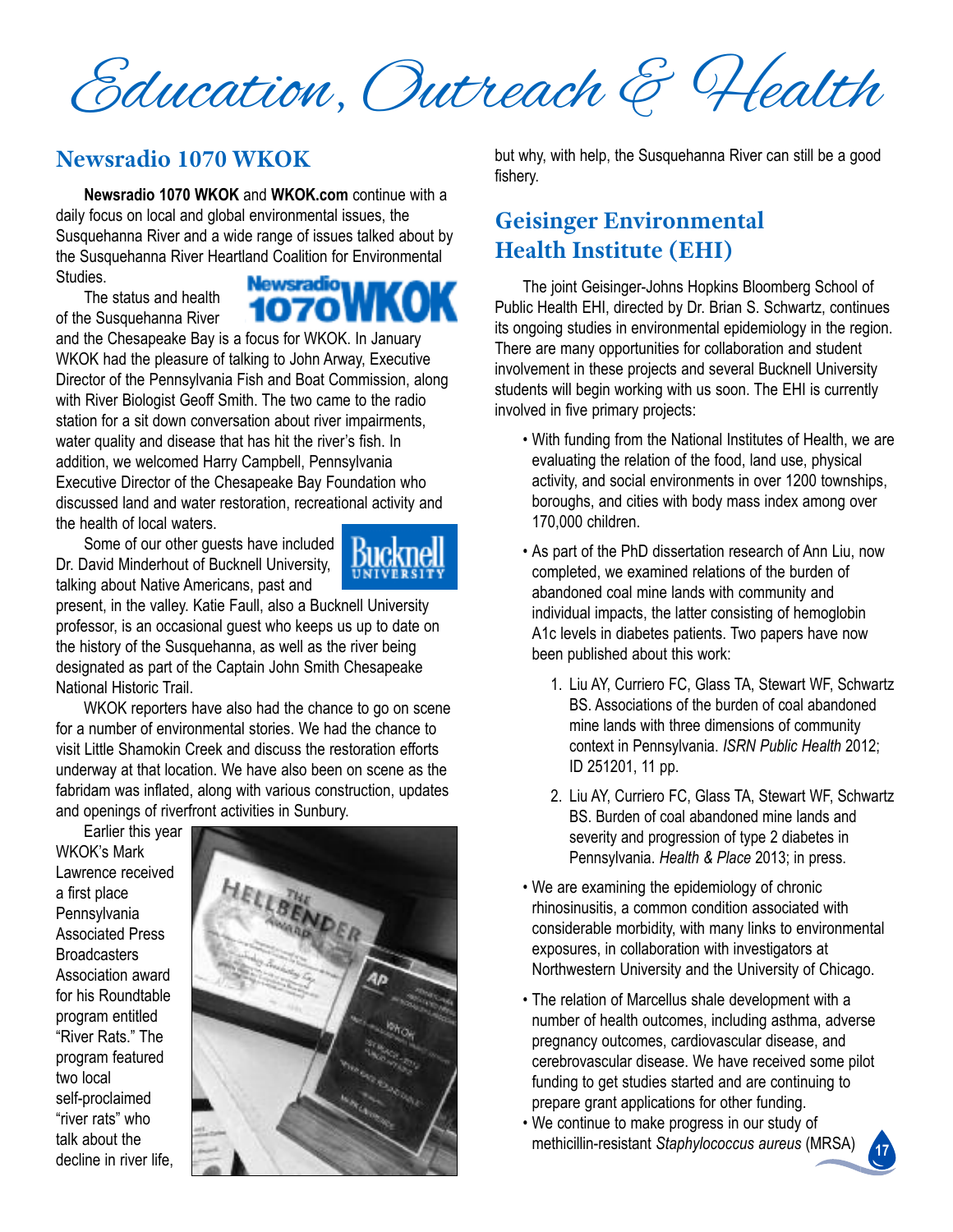Education, Outreach & Health

# **Newsradio 1070 WKOK**

**Newsradio 1070 WKOK** and **WKOK.com** continue with a daily focus on local and global environmental issues, the Susquehanna River and a wide range of issues talked about by the Susquehanna River Heartland Coalition for Environmental studies. Newsradio WKO

The status and health of the Susquehanna River

and the chesapeake Bay is a focus for Wkok. in January WKOK had the pleasure of talking to John Arway, Executive Director of the pennsylvania fish and Boat commission, along with River Biologist Geoff Smith. The two came to the radio station for a sit down conversation about river impairments, water quality and disease that has hit the river's fish. in addition, we welcomed Harry Campbell, Pennsylvania Executive Director of the Chesapeake Bay Foundation who discussed land and water restoration, recreational activity and the health of local waters.

some of our other guests have included Dr. David Minderhout of Bucknell University, talking about Native Americans, past and

present, in the valley. Katie Faull, also a Bucknell University professor, is an occasional guest who keeps us up to date on the history of the Susquehanna, as well as the river being designated as part of the Captain John Smith Chesapeake National Historic Trail.

Wkok reporters have also had the chance to go on scene for a number of environmental stories. We had the chance to visit little shamokin creek and discuss the restoration efforts underway at that location. We have also been on scene as the fabridam was inflated, along with various construction, updates and openings of riverfront activities in Sunbury.

Earlier this year Wkok's Mark lawrence received a first place **Pennsylvania Associated Press Broadcasters** Association award for his Roundtable program entitled "River Rats." The program featured two local self-proclaimed "river rats" who talk about the decline in river life,



but why, with help, the Susquehanna River can still be a good fishery.

# **Geisinger Environmental Health Institute (EHI)**

The joint Geisinger-Johns Hopkins Bloomberg School of Public Health EHI, directed by Dr. Brian S. Schwartz, continues its ongoing studies in environmental epidemiology in the region. There are many opportunities for collaboration and student involvement in these projects and several Bucknell University students will begin working with us soon. The EHI is currently involved in five primary projects:

- With funding from the National Institutes of Health, we are evaluating the relation of the food, land use, physical activity, and social environments in over 1200 townships, boroughs, and cities with body mass index among over 170,000 children.
- As part of the PhD dissertation research of Ann Liu, now completed, we examined relations of the burden of abandoned coal mine lands with community and individual impacts, the latter consisting of hemoglobin A1c levels in diabetes patients. Two papers have now been published about this work:
	- 1. liu ay, curriero fc, Glass ta, stewart Wf, schwartz BS. Associations of the burden of coal abandoned mine lands with three dimensions of community context in pennsylvania. *ISRN Public Health* 2012; iD 251201, 11 pp.
	- 2. Liu AY, Curriero FC, Glass TA, Stewart WF, Schwartz Bs. Burden of coal abandoned mine lands and severity and progression of type 2 diabetes in pennsylvania. *Health & Place* 2013; in press.
- We are examining the epidemiology of chronic rhinosinusitis, a common condition associated with considerable morbidity, with many links to environmental exposures, in collaboration with investigators at Northwestern University and the University of Chicago.
- The relation of Marcellus shale development with a number of health outcomes, including asthma, adverse pregnancy outcomes, cardiovascular disease, and cerebrovascular disease. We have received some pilot funding to get studies started and are continuing to prepare grant applications for other funding.
- We continue to make progress in our study of methicillin-resistant *Staphylococcus aureus* (Mrsa)

**17**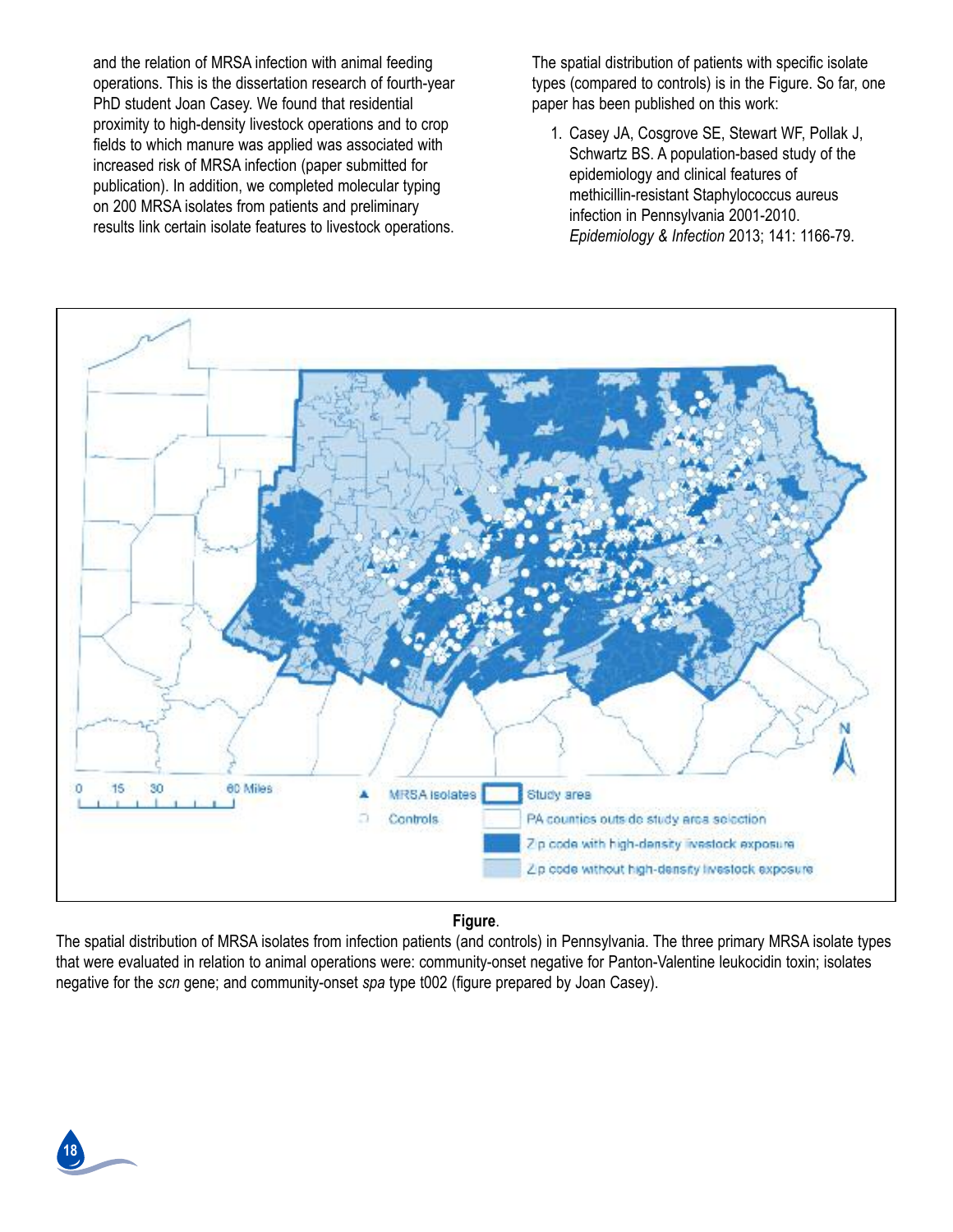and the relation of MRSA infection with animal feeding operations. This is the dissertation research of fourth-year PhD student Joan Casey. We found that residential proximity to high-density livestock operations and to crop fields to which manure was applied was associated with increased risk of MRSA infection (paper submitted for publication). in addition, we completed molecular typing on 200 MRSA isolates from patients and preliminary results link certain isolate features to livestock operations. The spatial distribution of patients with specific isolate types (compared to controls) is in the Figure. So far, one paper has been published on this work:

1. Casey JA, Cosgrove SE, Stewart WF, Pollak J, Schwartz BS. A population-based study of the epidemiology and clinical features of methicillin-resistant staphylococcus aureus infection in Pennsylvania 2001-2010. *Epidemiology & Infection* 2013; 141: 1166-79.



#### **Figure**.

The spatial distribution of MRSA isolates from infection patients (and controls) in Pennsylvania. The three primary MRSA isolate types that were evaluated in relation to animal operations were: community-onset negative for panton-valentine leukocidin toxin; isolates negative for the *scn* gene; and community-onset *spa* type t002 (figure prepared by Joan casey).

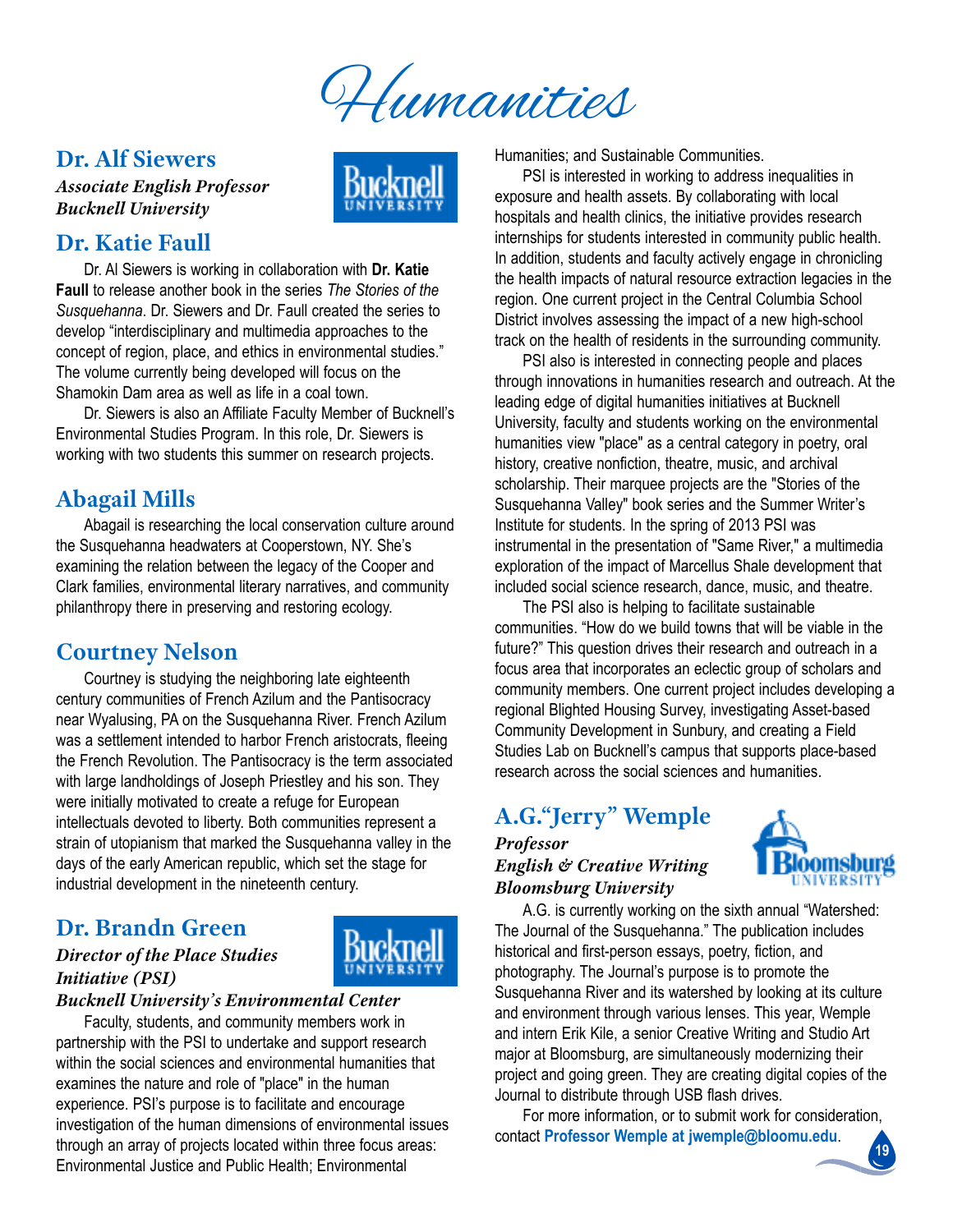

## **Dr. Alf Siewers**

*Associate English Professor Bucknell University*



# **Dr. Katie Faull**

Dr. al siewers is working in collaboration with **Dr. Katie Faull** to release another book in the series *The Stories of the Susquehanna*. Dr. siewers and Dr. faull created the series to develop "interdisciplinary and multimedia approaches to the concept of region, place, and ethics in environmental studies." The volume currently being developed will focus on the shamokin Dam area as well as life in a coal town.

Dr. Siewers is also an Affiliate Faculty Member of Bucknell's Environmental Studies Program. In this role, Dr. Siewers is working with two students this summer on research projects.

# **Abagail Mills**

abagail is researching the local conservation culture around the Susquehanna headwaters at Cooperstown, NY. She's examining the relation between the legacy of the cooper and clark families, environmental literary narratives, and community philanthropy there in preserving and restoring ecology.

# **Courtney Nelson**

courtney is studying the neighboring late eighteenth century communities of French Azilum and the Pantisocracy near Wyalusing, PA on the Susquehanna River. French Azilum was a settlement intended to harbor french aristocrats, fleeing the French Revolution. The Pantisocracy is the term associated with large landholdings of Joseph Priestley and his son. They were initially motivated to create a refuge for European intellectuals devoted to liberty. Both communities represent a strain of utopianism that marked the Susquehanna valley in the days of the early American republic, which set the stage for industrial development in the nineteenth century.

# **Dr. Brandn Green**

### *Director of the Place Studies Initiative (PSI)*



#### *Bucknell University's Environmental Center*

faculty, students, and community members work in partnership with the PSI to undertake and support research within the social sciences and environmental humanities that examines the nature and role of "place" in the human experience. PSI's purpose is to facilitate and encourage investigation of the human dimensions of environmental issues through an array of projects located within three focus areas: Environmental Justice and Public Health: Environmental

Humanities; and Sustainable Communities.

psi is interested in working to address inequalities in exposure and health assets. By collaborating with local hospitals and health clinics, the initiative provides research internships for students interested in community public health. in addition, students and faculty actively engage in chronicling the health impacts of natural resource extraction legacies in the region. One current project in the Central Columbia School District involves assessing the impact of a new high-school track on the health of residents in the surrounding community.

psi also is interested in connecting people and places through innovations in humanities research and outreach. At the leading edge of digital humanities initiatives at Bucknell University, faculty and students working on the environmental humanities view "place" as a central category in poetry, oral history, creative nonfiction, theatre, music, and archival scholarship. Their marquee projects are the "Stories of the Susquehanna Valley" book series and the Summer Writer's Institute for students. In the spring of 2013 PSI was instrumental in the presentation of "Same River," a multimedia exploration of the impact of Marcellus Shale development that included social science research, dance, music, and theatre.

The PSI also is helping to facilitate sustainable communities. "how do we build towns that will be viable in the future?" This question drives their research and outreach in a focus area that incorporates an eclectic group of scholars and community members. One current project includes developing a regional Blighted Housing Survey, investigating Asset-based Community Development in Sunbury, and creating a Field studies lab on Bucknell's campus that supports place-based research across the social sciences and humanities.

# **A.G."Jerry" Wemple**

#### *Professor English & Creative Writing Bloomsburg University*



A.G. is currently working on the sixth annual "Watershed: The Journal of the Susquehanna." The publication includes historical and first-person essays, poetry, fiction, and photography. The Journal's purpose is to promote the Susquehanna River and its watershed by looking at its culture and environment through various lenses. This year, Wemple and intern Erik Kile, a senior Creative Writing and Studio Art major at Bloomsburg, are simultaneously modernizing their project and going green. They are creating digital copies of the Journal to distribute through USB flash drives.

for more information, or to submit work for consideration, contact **Professor Wemple at jwemple@bloomu.edu**.